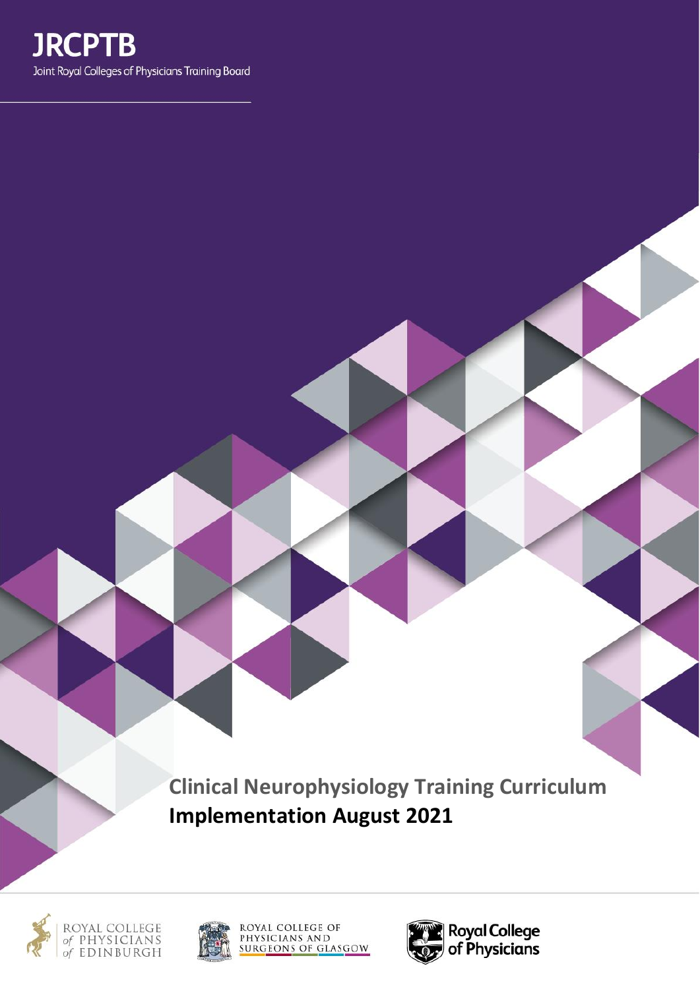

**Clinical Neurophysiology Training Curriculum Implementation August 2021**







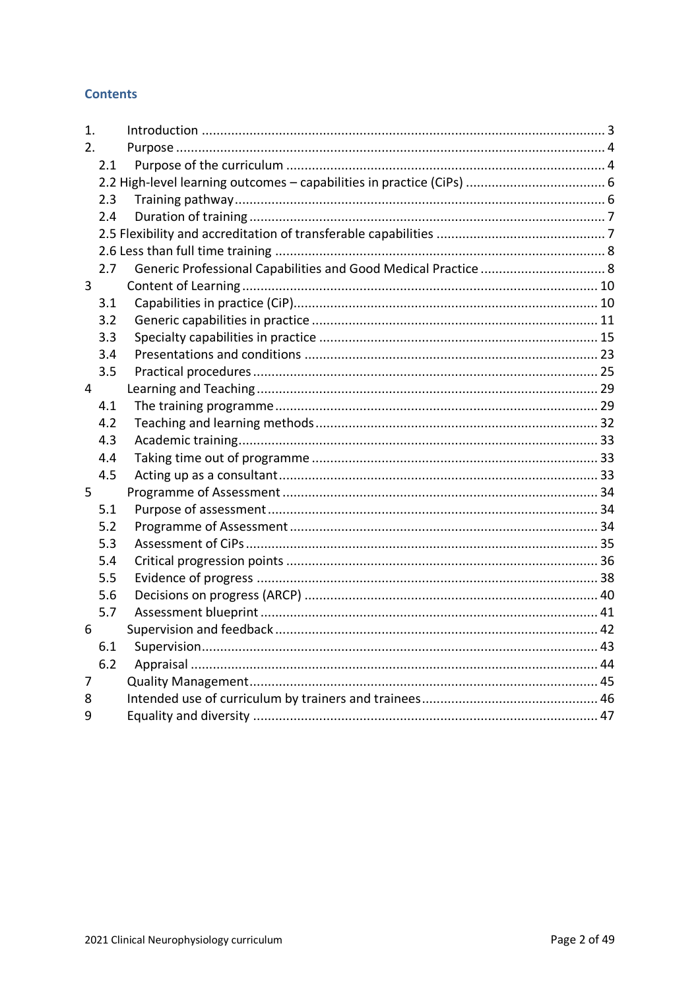# **Contents**

| 1.             |     |  |
|----------------|-----|--|
| 2.             |     |  |
|                | 2.1 |  |
|                |     |  |
|                | 2.3 |  |
|                | 2.4 |  |
|                |     |  |
|                |     |  |
|                | 2.7 |  |
| 3              |     |  |
|                | 3.1 |  |
|                | 3.2 |  |
|                | 3.3 |  |
|                | 3.4 |  |
|                | 3.5 |  |
| $\overline{4}$ |     |  |
|                | 4.1 |  |
|                | 4.2 |  |
|                | 4.3 |  |
|                | 4.4 |  |
|                | 4.5 |  |
| 5              |     |  |
|                | 5.1 |  |
|                | 5.2 |  |
|                | 5.3 |  |
|                | 5.4 |  |
|                | 5.5 |  |
|                | 5.6 |  |
|                | 5.7 |  |
| 6              |     |  |
|                | 6.1 |  |
|                | 6.2 |  |
| 7              |     |  |
| 8              |     |  |
| 9              |     |  |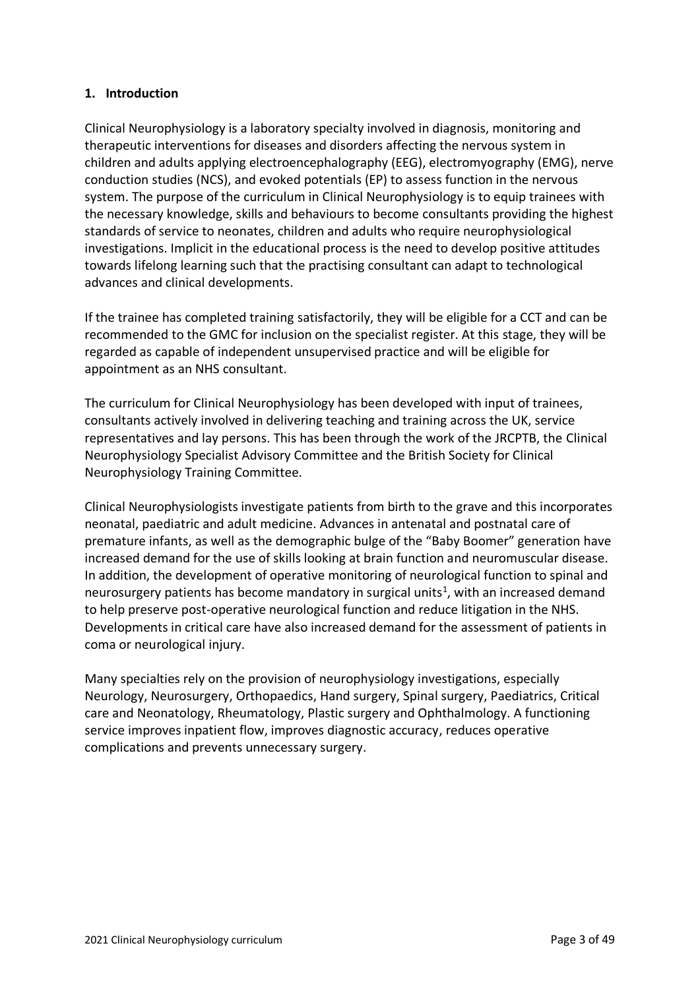# <span id="page-2-0"></span>**1. Introduction**

Clinical Neurophysiology is a laboratory specialty involved in diagnosis, monitoring and therapeutic interventions for diseases and disorders affecting the nervous system in children and adults applying electroencephalography (EEG), electromyography (EMG), nerve conduction studies (NCS), and evoked potentials (EP) to assess function in the nervous system. The purpose of the curriculum in Clinical Neurophysiology is to equip trainees with the necessary knowledge, skills and behaviours to become consultants providing the highest standards of service to neonates, children and adults who require neurophysiological investigations. Implicit in the educational process is the need to develop positive attitudes towards lifelong learning such that the practising consultant can adapt to technological advances and clinical developments.

If the trainee has completed training satisfactorily, they will be eligible for a CCT and can be recommended to the GMC for inclusion on the specialist register. At this stage, they will be regarded as capable of independent unsupervised practice and will be eligible for appointment as an NHS consultant.

The curriculum for Clinical Neurophysiology has been developed with input of trainees, consultants actively involved in delivering teaching and training across the UK, service representatives and lay persons. This has been through the work of the JRCPTB, the Clinical Neurophysiology Specialist Advisory Committee and the British Society for Clinical Neurophysiology Training Committee.

Clinical Neurophysiologists investigate patients from birth to the grave and this incorporates neonatal, paediatric and adult medicine. Advances in antenatal and postnatal care of premature infants, as well as the demographic bulge of the "Baby Boomer" generation have increased demand for the use of skills looking at brain function and neuromuscular disease. In addition, the development of operative monitoring of neurological function to spinal and neurosurgery patients has become mandatory in surgical units<sup>1</sup>, with an increased demand to help preserve post-operative neurological function and reduce litigation in the NHS. Developments in critical care have also increased demand for the assessment of patients in coma or neurological injury.

Many specialties rely on the provision of neurophysiology investigations, especially Neurology, Neurosurgery, Orthopaedics, Hand surgery, Spinal surgery, Paediatrics, Critical care and Neonatology, Rheumatology, Plastic surgery and Ophthalmology. A functioning service improves inpatient flow, improves diagnostic accuracy, reduces operative complications and prevents unnecessary surgery.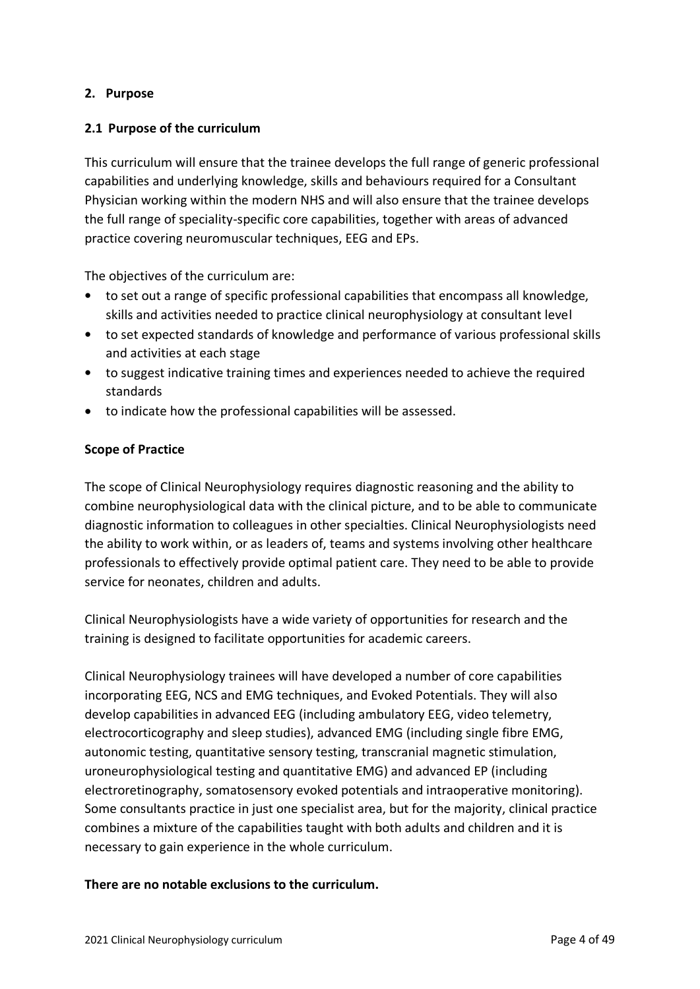# <span id="page-3-0"></span>**2. Purpose**

## <span id="page-3-1"></span>**2.1 Purpose of the curriculum**

This curriculum will ensure that the trainee develops the full range of generic professional capabilities and underlying knowledge, skills and behaviours required for a Consultant Physician working within the modern NHS and will also ensure that the trainee develops the full range of speciality-specific core capabilities, together with areas of advanced practice covering neuromuscular techniques, EEG and EPs.

The objectives of the curriculum are:

- to set out a range of specific professional capabilities that encompass all knowledge, skills and activities needed to practice clinical neurophysiology at consultant level
- to set expected standards of knowledge and performance of various professional skills and activities at each stage
- to suggest indicative training times and experiences needed to achieve the required standards
- to indicate how the professional capabilities will be assessed.

## **Scope of Practice**

The scope of Clinical Neurophysiology requires diagnostic reasoning and the ability to combine neurophysiological data with the clinical picture, and to be able to communicate diagnostic information to colleagues in other specialties. Clinical Neurophysiologists need the ability to work within, or as leaders of, teams and systems involving other healthcare professionals to effectively provide optimal patient care. They need to be able to provide service for neonates, children and adults.

Clinical Neurophysiologists have a wide variety of opportunities for research and the training is designed to facilitate opportunities for academic careers.

Clinical Neurophysiology trainees will have developed a number of core capabilities incorporating EEG, NCS and EMG techniques, and Evoked Potentials. They will also develop capabilities in advanced EEG (including ambulatory EEG, video telemetry, electrocorticography and sleep studies), advanced EMG (including single fibre EMG, autonomic testing, quantitative sensory testing, transcranial magnetic stimulation, uroneurophysiological testing and quantitative EMG) and advanced EP (including electroretinography, somatosensory evoked potentials and intraoperative monitoring). Some consultants practice in just one specialist area, but for the majority, clinical practice combines a mixture of the capabilities taught with both adults and children and it is necessary to gain experience in the whole curriculum.

## **There are no notable exclusions to the curriculum.**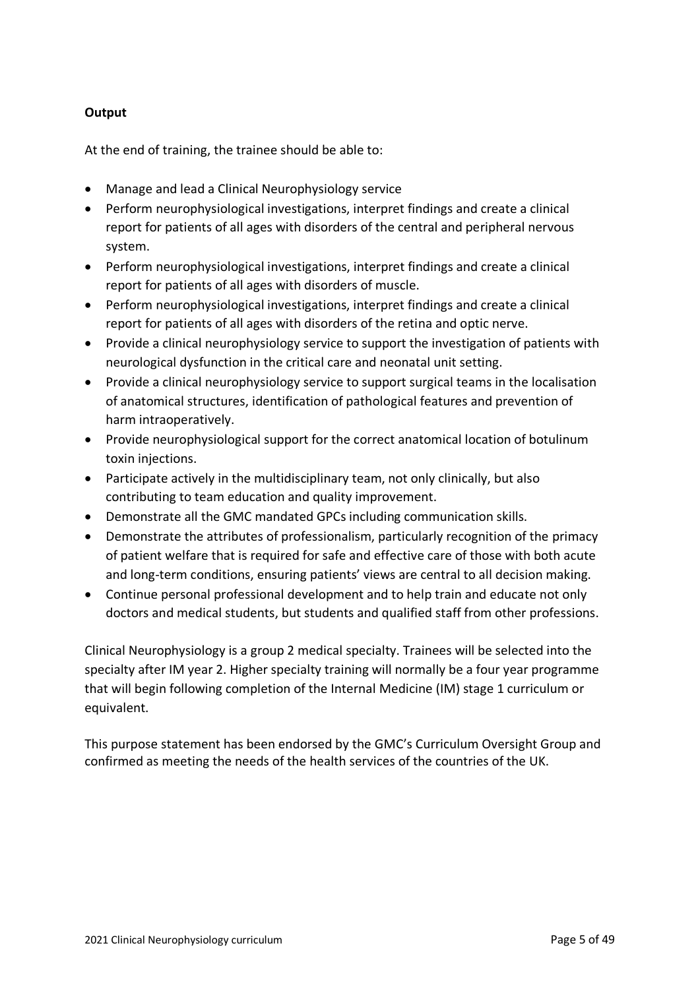# **Output**

At the end of training, the trainee should be able to:

- Manage and lead a Clinical Neurophysiology service
- Perform neurophysiological investigations, interpret findings and create a clinical report for patients of all ages with disorders of the central and peripheral nervous system.
- Perform neurophysiological investigations, interpret findings and create a clinical report for patients of all ages with disorders of muscle.
- Perform neurophysiological investigations, interpret findings and create a clinical report for patients of all ages with disorders of the retina and optic nerve.
- Provide a clinical neurophysiology service to support the investigation of patients with neurological dysfunction in the critical care and neonatal unit setting.
- Provide a clinical neurophysiology service to support surgical teams in the localisation of anatomical structures, identification of pathological features and prevention of harm intraoperatively.
- Provide neurophysiological support for the correct anatomical location of botulinum toxin injections.
- Participate actively in the multidisciplinary team, not only clinically, but also contributing to team education and quality improvement.
- Demonstrate all the GMC mandated GPCs including communication skills.
- Demonstrate the attributes of professionalism, particularly recognition of the primacy of patient welfare that is required for safe and effective care of those with both acute and long-term conditions, ensuring patients' views are central to all decision making.
- Continue personal professional development and to help train and educate not only doctors and medical students, but students and qualified staff from other professions.

Clinical Neurophysiology is a group 2 medical specialty. Trainees will be selected into the specialty after IM year 2. Higher specialty training will normally be a four year programme that will begin following completion of the Internal Medicine (IM) stage 1 curriculum or equivalent.

This purpose statement has been endorsed by the GMC's Curriculum Oversight Group and confirmed as meeting the needs of the health services of the countries of the UK.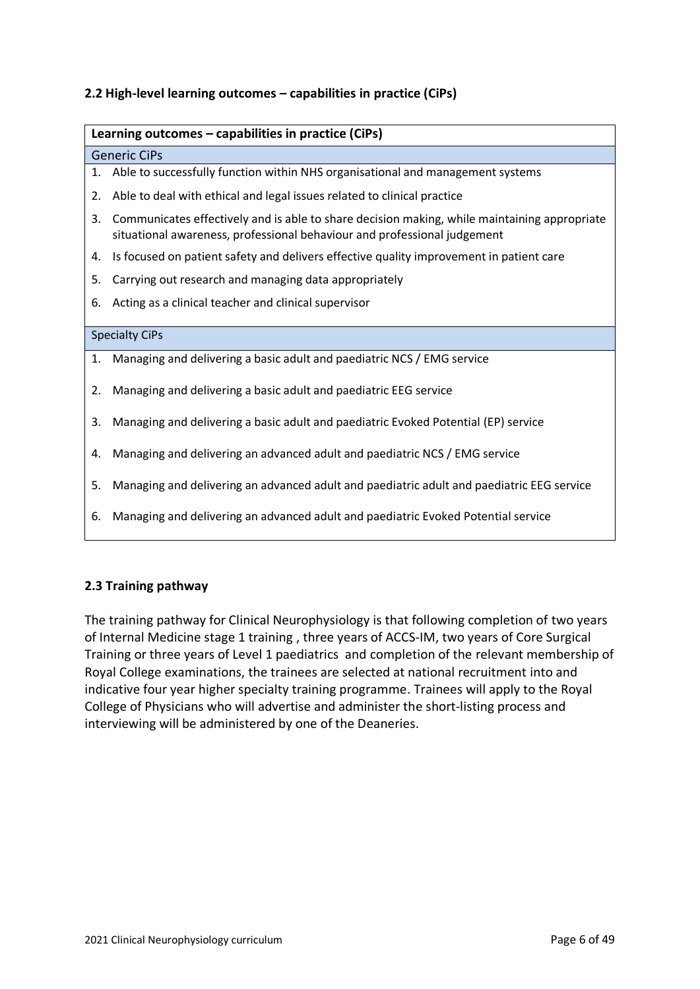# <span id="page-5-0"></span>**2.2 High-level learning outcomes – capabilities in practice (CiPs)**

#### **Learning outcomes – capabilities in practice (CiPs)**

#### Generic CiPs

- 1. Able to successfully function within NHS organisational and management systems
- 2. Able to deal with ethical and legal issues related to clinical practice
- 3. Communicates effectively and is able to share decision making, while maintaining appropriate situational awareness, professional behaviour and professional judgement
- 4. Is focused on patient safety and delivers effective quality improvement in patient care
- 5. Carrying out research and managing data appropriately
- 6. Acting as a clinical teacher and clinical supervisor

#### Specialty CiPs

- 1. Managing and delivering a basic adult and paediatric NCS / EMG service
- 2. Managing and delivering a basic adult and paediatric EEG service
- 3. Managing and delivering a basic adult and paediatric Evoked Potential (EP) service
- 4. Managing and delivering an advanced adult and paediatric NCS / EMG service
- 5. Managing and delivering an advanced adult and paediatric adult and paediatric EEG service
- 6. Managing and delivering an advanced adult and paediatric Evoked Potential service

## <span id="page-5-1"></span>**2.3 Training pathway**

The training pathway for Clinical Neurophysiology is that following completion of two years of Internal Medicine stage 1 training , three years of ACCS-IM, two years of Core Surgical Training or three years of Level 1 paediatrics and completion of the relevant membership of Royal College examinations, the trainees are selected at national recruitment into and indicative four year higher specialty training programme. Trainees will apply to the Royal College of Physicians who will advertise and administer the short-listing process and interviewing will be administered by one of the Deaneries.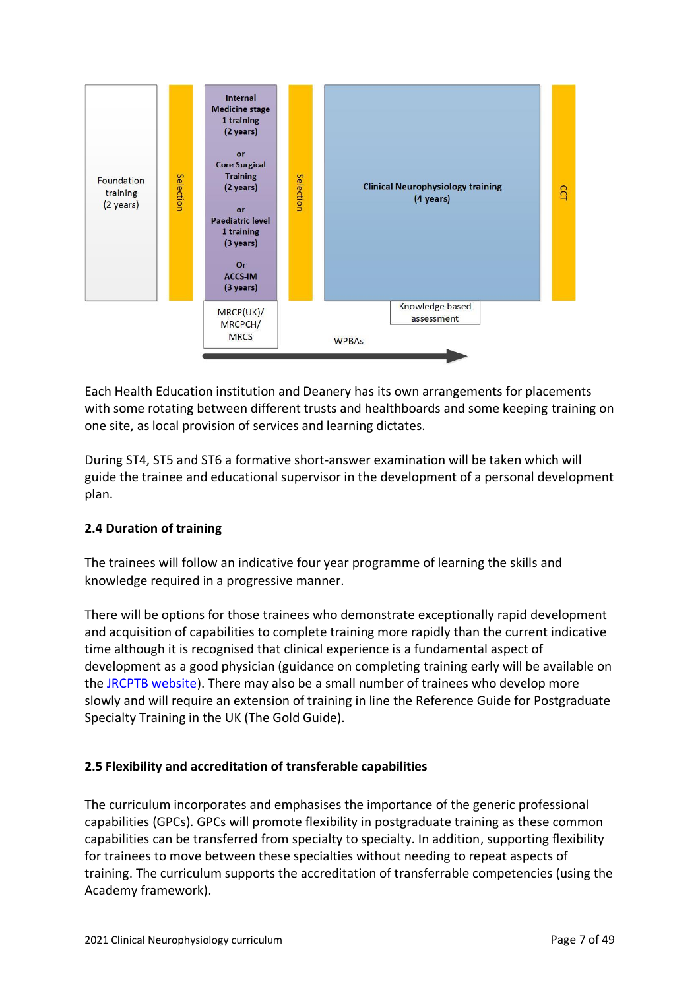

Each Health Education institution and Deanery has its own arrangements for placements with some rotating between different trusts and healthboards and some keeping training on one site, as local provision of services and learning dictates.

During ST4, ST5 and ST6 a formative short-answer examination will be taken which will guide the trainee and educational supervisor in the development of a personal development plan.

# <span id="page-6-0"></span>**2.4 Duration of training**

The trainees will follow an indicative four year programme of learning the skills and knowledge required in a progressive manner.

There will be options for those trainees who demonstrate exceptionally rapid development and acquisition of capabilities to complete training more rapidly than the current indicative time although it is recognised that clinical experience is a fundamental aspect of development as a good physician (guidance on completing training early will be available on the [JRCPTB website\)](http://www.jrcptb.org.uk/). There may also be a small number of trainees who develop more slowly and will require an extension of training in line the Reference Guide for Postgraduate Specialty Training in the UK (The Gold Guide).

# <span id="page-6-1"></span>**2.5 Flexibility and accreditation of transferable capabilities**

The curriculum incorporates and emphasises the importance of the generic professional capabilities (GPCs). GPCs will promote flexibility in postgraduate training as these common capabilities can be transferred from specialty to specialty. In addition, supporting flexibility for trainees to move between these specialties without needing to repeat aspects of training. The curriculum supports the accreditation of transferrable competencies (using the Academy framework).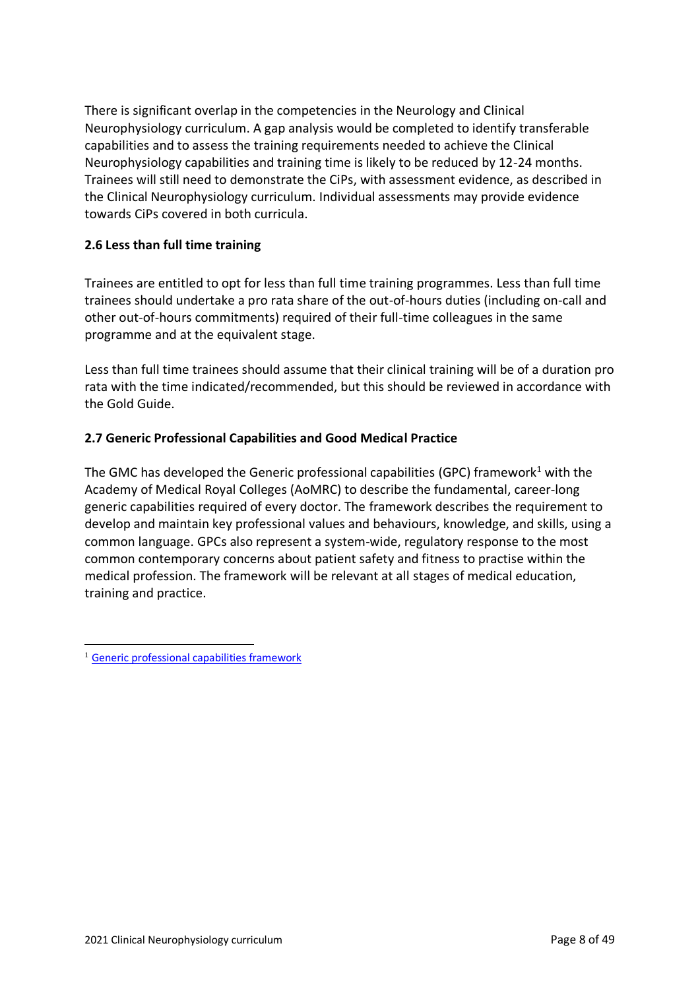There is significant overlap in the competencies in the Neurology and Clinical Neurophysiology curriculum. A gap analysis would be completed to identify transferable capabilities and to assess the training requirements needed to achieve the Clinical Neurophysiology capabilities and training time is likely to be reduced by 12-24 months. Trainees will still need to demonstrate the CiPs, with assessment evidence, as described in the Clinical Neurophysiology curriculum. Individual assessments may provide evidence towards CiPs covered in both curricula.

# <span id="page-7-0"></span>**2.6 Less than full time training**

Trainees are entitled to opt for less than full time training programmes. Less than full time trainees should undertake a pro rata share of the out-of-hours duties (including on-call and other out-of-hours commitments) required of their full-time colleagues in the same programme and at the equivalent stage.

Less than full time trainees should assume that their clinical training will be of a duration pro rata with the time indicated/recommended, but this should be reviewed in accordance with the Gold Guide.

## <span id="page-7-1"></span>**2.7 Generic Professional Capabilities and Good Medical Practice**

The GMC has developed the Generic professional capabilities (GPC) framework<sup>1</sup> with the Academy of Medical Royal Colleges (AoMRC) to describe the fundamental, career-long generic capabilities required of every doctor. The framework describes the requirement to develop and maintain key professional values and behaviours, knowledge, and skills, using a common language. GPCs also represent a system-wide, regulatory response to the most common contemporary concerns about patient safety and fitness to practise within the medical profession. The framework will be relevant at all stages of medical education, training and practice.

<sup>&</sup>lt;sup>1</sup> [Generic professional capabilities framework](http://www.gmc-uk.org/education/postgraduate/GPC.asp)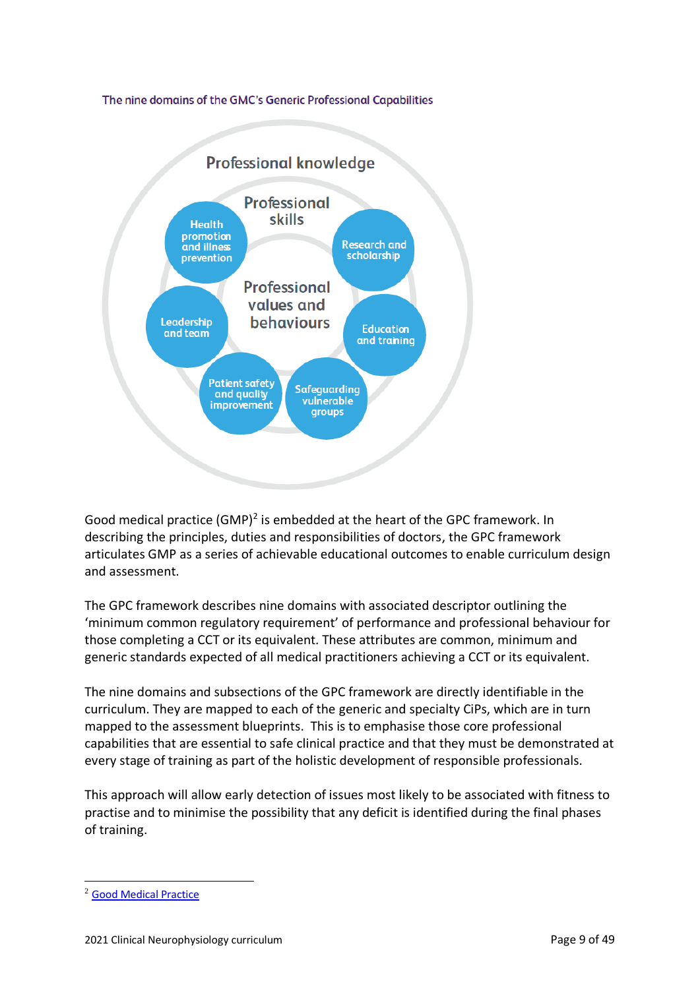### The nine domains of the GMC's Generic Professional Capabilities



Good medical practice (GMP)<sup>2</sup> is embedded at the heart of the GPC framework. In describing the principles, duties and responsibilities of doctors, the GPC framework articulates GMP as a series of achievable educational outcomes to enable curriculum design and assessment.

The GPC framework describes nine domains with associated descriptor outlining the 'minimum common regulatory requirement' of performance and professional behaviour for those completing a CCT or its equivalent. These attributes are common, minimum and generic standards expected of all medical practitioners achieving a CCT or its equivalent.

The nine domains and subsections of the GPC framework are directly identifiable in the curriculum. They are mapped to each of the generic and specialty CiPs, which are in turn mapped to the assessment blueprints. This is to emphasise those core professional capabilities that are essential to safe clinical practice and that they must be demonstrated at every stage of training as part of the holistic development of responsible professionals.

This approach will allow early detection of issues most likely to be associated with fitness to practise and to minimise the possibility that any deficit is identified during the final phases of training.

<sup>2</sup> [Good Medical Practice](http://www.gmc-uk.org/guidance/good_medical_practice.asp)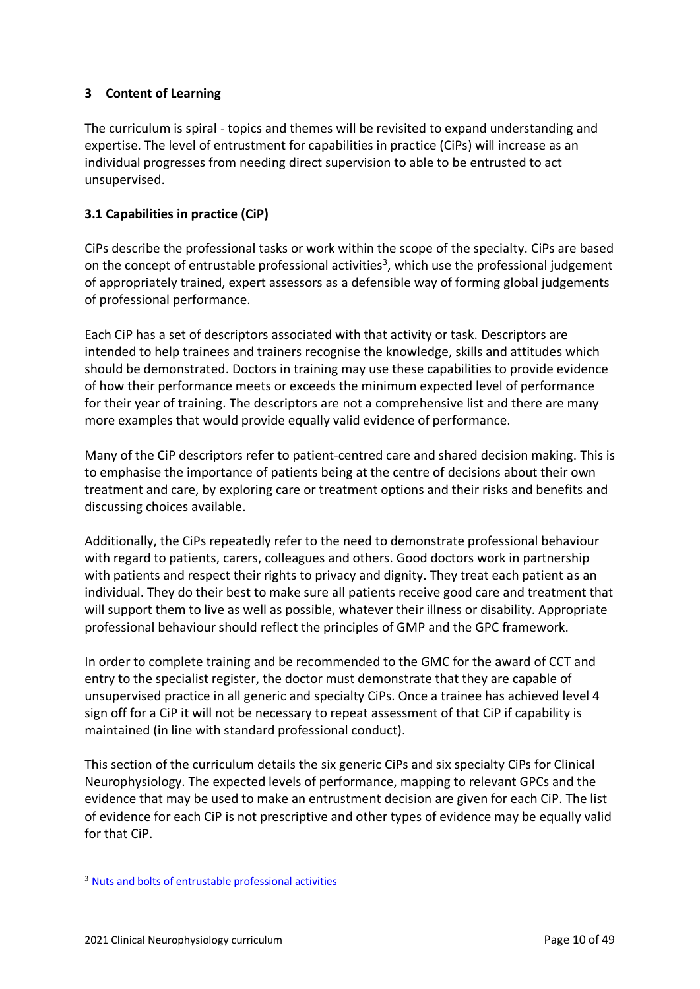# <span id="page-9-0"></span>**3 Content of Learning**

The curriculum is spiral - topics and themes will be revisited to expand understanding and expertise. The level of entrustment for capabilities in practice (CiPs) will increase as an individual progresses from needing direct supervision to able to be entrusted to act unsupervised.

# <span id="page-9-1"></span>**3.1 Capabilities in practice (CiP)**

CiPs describe the professional tasks or work within the scope of the specialty. CiPs are based on the concept of entrustable professional activities<sup>3</sup>, which use the professional judgement of appropriately trained, expert assessors as a defensible way of forming global judgements of professional performance.

Each CiP has a set of descriptors associated with that activity or task. Descriptors are intended to help trainees and trainers recognise the knowledge, skills and attitudes which should be demonstrated. Doctors in training may use these capabilities to provide evidence of how their performance meets or exceeds the minimum expected level of performance for their year of training. The descriptors are not a comprehensive list and there are many more examples that would provide equally valid evidence of performance.

Many of the CiP descriptors refer to patient-centred care and shared decision making. This is to emphasise the importance of patients being at the centre of decisions about their own treatment and care, by exploring care or treatment options and their risks and benefits and discussing choices available.

Additionally, the CiPs repeatedly refer to the need to demonstrate professional behaviour with regard to patients, carers, colleagues and others. Good doctors work in partnership with patients and respect their rights to privacy and dignity. They treat each patient as an individual. They do their best to make sure all patients receive good care and treatment that will support them to live as well as possible, whatever their illness or disability. Appropriate professional behaviour should reflect the principles of GMP and the GPC framework.

In order to complete training and be recommended to the GMC for the award of CCT and entry to the specialist register, the doctor must demonstrate that they are capable of unsupervised practice in all generic and specialty CiPs. Once a trainee has achieved level 4 sign off for a CiP it will not be necessary to repeat assessment of that CiP if capability is maintained (in line with standard professional conduct).

This section of the curriculum details the six generic CiPs and six specialty CiPs for Clinical Neurophysiology. The expected levels of performance, mapping to relevant GPCs and the evidence that may be used to make an entrustment decision are given for each CiP. The list of evidence for each CiP is not prescriptive and other types of evidence may be equally valid for that CiP.

<sup>3</sup> [Nuts and bolts of entrustable professional activities](https://www.ncbi.nlm.nih.gov/pmc/articles/PMC3613304/)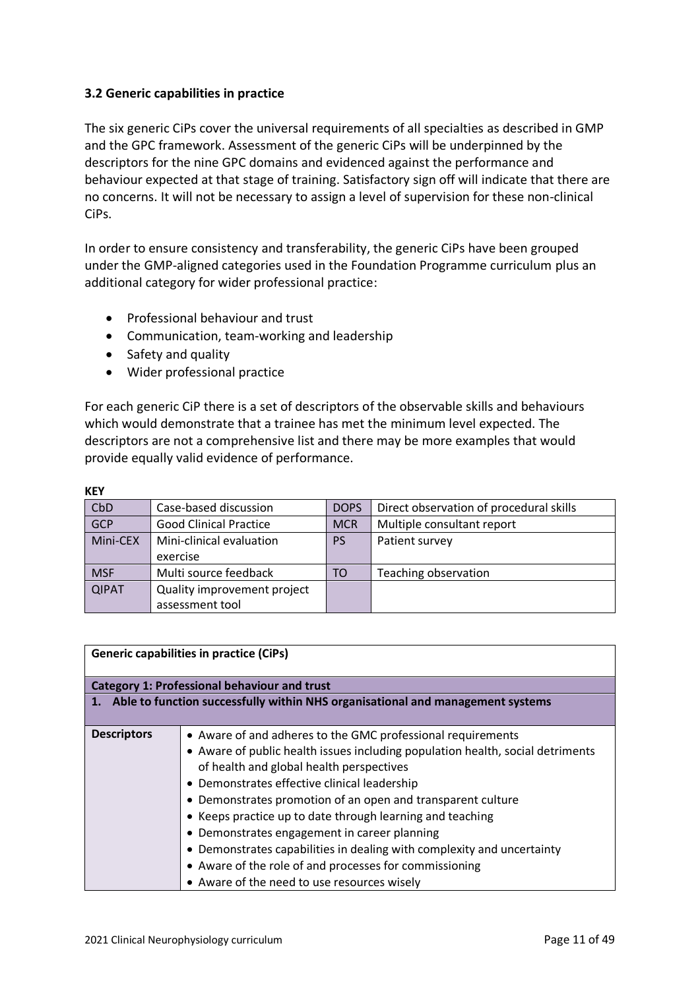# <span id="page-10-0"></span>**3.2 Generic capabilities in practice**

The six generic CiPs cover the universal requirements of all specialties as described in GMP and the GPC framework. Assessment of the generic CiPs will be underpinned by the descriptors for the nine GPC domains and evidenced against the performance and behaviour expected at that stage of training. Satisfactory sign off will indicate that there are no concerns. It will not be necessary to assign a level of supervision for these non-clinical CiPs.

In order to ensure consistency and transferability, the generic CiPs have been grouped under the GMP-aligned categories used in the Foundation Programme curriculum plus an additional category for wider professional practice:

- Professional behaviour and trust
- Communication, team-working and leadership
- Safety and quality
- Wider professional practice

For each generic CiP there is a set of descriptors of the observable skills and behaviours which would demonstrate that a trainee has met the minimum level expected. The descriptors are not a comprehensive list and there may be more examples that would provide equally valid evidence of performance.

| CbD          | Case-based discussion         | DOPS       | Direct observation of procedural skills |
|--------------|-------------------------------|------------|-----------------------------------------|
| GCP          | <b>Good Clinical Practice</b> | <b>MCR</b> | Multiple consultant report              |
| Mini-CEX     | Mini-clinical evaluation      | <b>PS</b>  | Patient survey                          |
|              | exercise                      |            |                                         |
| <b>MSF</b>   | Multi source feedback         | TO         | Teaching observation                    |
| <b>QIPAT</b> | Quality improvement project   |            |                                         |
|              | assessment tool               |            |                                         |

| <b>Generic capabilities in practice (CiPs)</b>                                    |                                                                                                                                                                                                                                                                                                                                                                                                                                                                                                                                                                                                          |  |
|-----------------------------------------------------------------------------------|----------------------------------------------------------------------------------------------------------------------------------------------------------------------------------------------------------------------------------------------------------------------------------------------------------------------------------------------------------------------------------------------------------------------------------------------------------------------------------------------------------------------------------------------------------------------------------------------------------|--|
|                                                                                   | <b>Category 1: Professional behaviour and trust</b>                                                                                                                                                                                                                                                                                                                                                                                                                                                                                                                                                      |  |
| 1. Able to function successfully within NHS organisational and management systems |                                                                                                                                                                                                                                                                                                                                                                                                                                                                                                                                                                                                          |  |
| <b>Descriptors</b>                                                                | • Aware of and adheres to the GMC professional requirements<br>• Aware of public health issues including population health, social detriments<br>of health and global health perspectives<br>• Demonstrates effective clinical leadership<br>• Demonstrates promotion of an open and transparent culture<br>• Keeps practice up to date through learning and teaching<br>• Demonstrates engagement in career planning<br>• Demonstrates capabilities in dealing with complexity and uncertainty<br>• Aware of the role of and processes for commissioning<br>• Aware of the need to use resources wisely |  |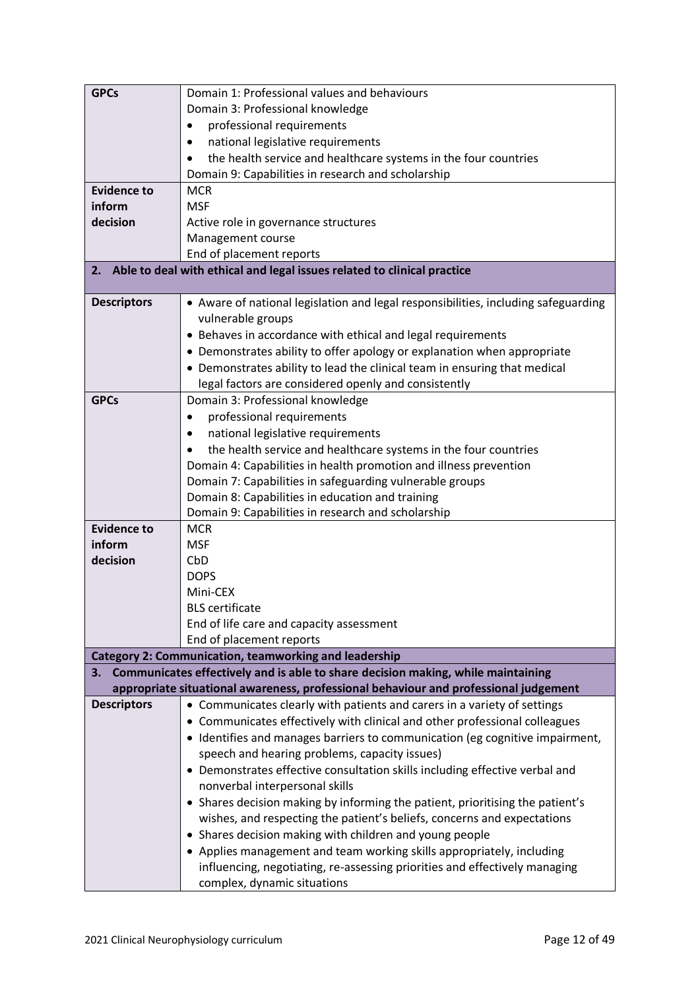| <b>GPCs</b>        | Domain 1: Professional values and behaviours                                         |  |  |
|--------------------|--------------------------------------------------------------------------------------|--|--|
|                    | Domain 3: Professional knowledge                                                     |  |  |
|                    | professional requirements<br>٠                                                       |  |  |
|                    | national legislative requirements<br>٠                                               |  |  |
|                    | the health service and healthcare systems in the four countries<br>$\bullet$         |  |  |
|                    | Domain 9: Capabilities in research and scholarship                                   |  |  |
| <b>Evidence to</b> | <b>MCR</b>                                                                           |  |  |
| inform             | <b>MSF</b>                                                                           |  |  |
| decision           | Active role in governance structures                                                 |  |  |
|                    | Management course                                                                    |  |  |
|                    | End of placement reports                                                             |  |  |
| 2.                 | Able to deal with ethical and legal issues related to clinical practice              |  |  |
| <b>Descriptors</b> | • Aware of national legislation and legal responsibilities, including safeguarding   |  |  |
|                    | vulnerable groups                                                                    |  |  |
|                    | • Behaves in accordance with ethical and legal requirements                          |  |  |
|                    | • Demonstrates ability to offer apology or explanation when appropriate              |  |  |
|                    | • Demonstrates ability to lead the clinical team in ensuring that medical            |  |  |
|                    | legal factors are considered openly and consistently                                 |  |  |
| <b>GPCs</b>        | Domain 3: Professional knowledge                                                     |  |  |
|                    | professional requirements                                                            |  |  |
|                    | national legislative requirements<br>٠                                               |  |  |
|                    | the health service and healthcare systems in the four countries                      |  |  |
|                    | Domain 4: Capabilities in health promotion and illness prevention                    |  |  |
|                    | Domain 7: Capabilities in safeguarding vulnerable groups                             |  |  |
|                    | Domain 8: Capabilities in education and training                                     |  |  |
|                    | Domain 9: Capabilities in research and scholarship                                   |  |  |
| <b>Evidence to</b> | <b>MCR</b>                                                                           |  |  |
| inform             | <b>MSF</b>                                                                           |  |  |
| decision           | CbD                                                                                  |  |  |
|                    | <b>DOPS</b>                                                                          |  |  |
|                    | Mini-CEX                                                                             |  |  |
|                    | <b>BLS</b> certificate                                                               |  |  |
|                    | End of life care and capacity assessment<br>End of placement reports                 |  |  |
|                    | <b>Category 2: Communication, teamworking and leadership</b>                         |  |  |
|                    | 3. Communicates effectively and is able to share decision making, while maintaining  |  |  |
|                    | appropriate situational awareness, professional behaviour and professional judgement |  |  |
| <b>Descriptors</b> | • Communicates clearly with patients and carers in a variety of settings             |  |  |
|                    | • Communicates effectively with clinical and other professional colleagues           |  |  |
|                    | • Identifies and manages barriers to communication (eg cognitive impairment,         |  |  |
|                    | speech and hearing problems, capacity issues)                                        |  |  |
|                    | • Demonstrates effective consultation skills including effective verbal and          |  |  |
|                    | nonverbal interpersonal skills                                                       |  |  |
|                    | • Shares decision making by informing the patient, prioritising the patient's        |  |  |
|                    | wishes, and respecting the patient's beliefs, concerns and expectations              |  |  |
|                    | • Shares decision making with children and young people                              |  |  |
|                    | • Applies management and team working skills appropriately, including                |  |  |
|                    | influencing, negotiating, re-assessing priorities and effectively managing           |  |  |
|                    | complex, dynamic situations                                                          |  |  |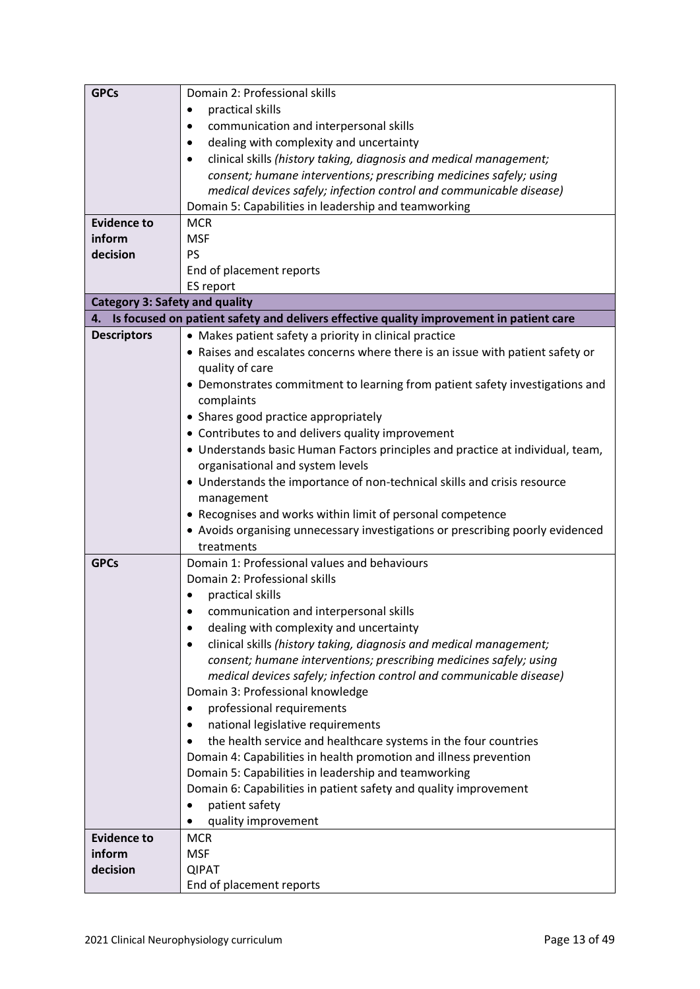| <b>GPCs</b>                           | Domain 2: Professional skills                                                           |  |
|---------------------------------------|-----------------------------------------------------------------------------------------|--|
|                                       | practical skills<br>٠                                                                   |  |
|                                       | communication and interpersonal skills                                                  |  |
|                                       | dealing with complexity and uncertainty                                                 |  |
|                                       | clinical skills (history taking, diagnosis and medical management;                      |  |
|                                       | consent; humane interventions; prescribing medicines safely; using                      |  |
|                                       | medical devices safely; infection control and communicable disease)                     |  |
|                                       | Domain 5: Capabilities in leadership and teamworking                                    |  |
| <b>Evidence to</b>                    | <b>MCR</b>                                                                              |  |
| inform                                | <b>MSF</b>                                                                              |  |
| decision                              | PS                                                                                      |  |
|                                       | End of placement reports                                                                |  |
|                                       | ES report                                                                               |  |
| <b>Category 3: Safety and quality</b> |                                                                                         |  |
| 4.                                    | Is focused on patient safety and delivers effective quality improvement in patient care |  |
| <b>Descriptors</b>                    | • Makes patient safety a priority in clinical practice                                  |  |
|                                       | • Raises and escalates concerns where there is an issue with patient safety or          |  |
|                                       | quality of care                                                                         |  |
|                                       | • Demonstrates commitment to learning from patient safety investigations and            |  |
|                                       | complaints                                                                              |  |
|                                       | • Shares good practice appropriately                                                    |  |
|                                       | • Contributes to and delivers quality improvement                                       |  |
|                                       | • Understands basic Human Factors principles and practice at individual, team,          |  |
|                                       | organisational and system levels                                                        |  |
|                                       | • Understands the importance of non-technical skills and crisis resource                |  |
|                                       | management                                                                              |  |
|                                       | • Recognises and works within limit of personal competence                              |  |
|                                       | • Avoids organising unnecessary investigations or prescribing poorly evidenced          |  |
|                                       | treatments                                                                              |  |
| <b>GPCs</b>                           | Domain 1: Professional values and behaviours                                            |  |
|                                       | Domain 2: Professional skills                                                           |  |
|                                       | practical skills                                                                        |  |
|                                       | communication and interpersonal skills                                                  |  |
|                                       | dealing with complexity and uncertainty<br>٠                                            |  |
|                                       | clinical skills (history taking, diagnosis and medical management;                      |  |
|                                       | consent; humane interventions; prescribing medicines safely; using                      |  |
|                                       | medical devices safely; infection control and communicable disease)                     |  |
|                                       | Domain 3: Professional knowledge                                                        |  |
|                                       | professional requirements                                                               |  |
|                                       | national legislative requirements<br>٠                                                  |  |
|                                       | the health service and healthcare systems in the four countries                         |  |
|                                       | Domain 4: Capabilities in health promotion and illness prevention                       |  |
|                                       | Domain 5: Capabilities in leadership and teamworking                                    |  |
|                                       | Domain 6: Capabilities in patient safety and quality improvement                        |  |
|                                       | patient safety                                                                          |  |
|                                       | quality improvement                                                                     |  |
| <b>Evidence to</b>                    | <b>MCR</b>                                                                              |  |
| inform                                | <b>MSF</b>                                                                              |  |
| decision                              | <b>QIPAT</b>                                                                            |  |
|                                       | End of placement reports                                                                |  |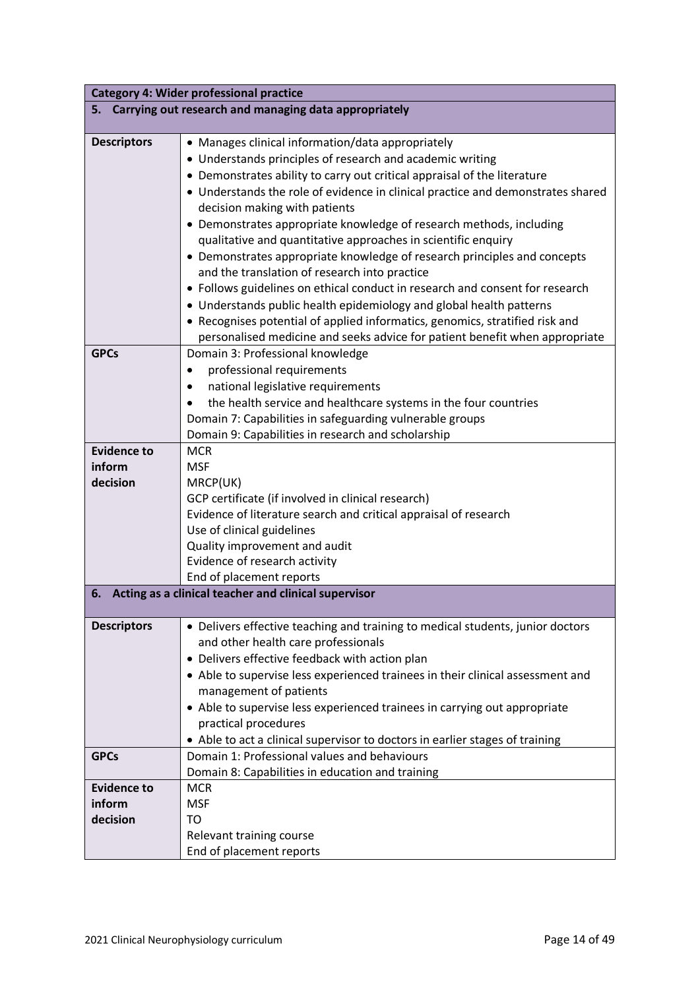| <b>Category 4: Wider professional practice</b>             |                                                                                                                                                                                                                                                                                                                                                                                                                                                                                                                                                                                                                                                                                                                                                                                                                                                                                                           |  |
|------------------------------------------------------------|-----------------------------------------------------------------------------------------------------------------------------------------------------------------------------------------------------------------------------------------------------------------------------------------------------------------------------------------------------------------------------------------------------------------------------------------------------------------------------------------------------------------------------------------------------------------------------------------------------------------------------------------------------------------------------------------------------------------------------------------------------------------------------------------------------------------------------------------------------------------------------------------------------------|--|
| 5. .                                                       | Carrying out research and managing data appropriately                                                                                                                                                                                                                                                                                                                                                                                                                                                                                                                                                                                                                                                                                                                                                                                                                                                     |  |
| <b>Descriptors</b>                                         | • Manages clinical information/data appropriately<br>• Understands principles of research and academic writing<br>• Demonstrates ability to carry out critical appraisal of the literature<br>• Understands the role of evidence in clinical practice and demonstrates shared<br>decision making with patients<br>• Demonstrates appropriate knowledge of research methods, including<br>qualitative and quantitative approaches in scientific enquiry<br>• Demonstrates appropriate knowledge of research principles and concepts<br>and the translation of research into practice<br>• Follows guidelines on ethical conduct in research and consent for research<br>• Understands public health epidemiology and global health patterns<br>• Recognises potential of applied informatics, genomics, stratified risk and<br>personalised medicine and seeks advice for patient benefit when appropriate |  |
| <b>GPCs</b>                                                | Domain 3: Professional knowledge<br>professional requirements<br>$\bullet$<br>national legislative requirements<br>٠<br>the health service and healthcare systems in the four countries<br>Domain 7: Capabilities in safeguarding vulnerable groups<br>Domain 9: Capabilities in research and scholarship                                                                                                                                                                                                                                                                                                                                                                                                                                                                                                                                                                                                 |  |
| <b>Evidence to</b><br>inform<br>decision                   | <b>MCR</b><br><b>MSF</b><br>MRCP(UK)<br>GCP certificate (if involved in clinical research)<br>Evidence of literature search and critical appraisal of research<br>Use of clinical guidelines<br>Quality improvement and audit<br>Evidence of research activity<br>End of placement reports                                                                                                                                                                                                                                                                                                                                                                                                                                                                                                                                                                                                                |  |
| Acting as a clinical teacher and clinical supervisor<br>6. |                                                                                                                                                                                                                                                                                                                                                                                                                                                                                                                                                                                                                                                                                                                                                                                                                                                                                                           |  |
| <b>Descriptors</b>                                         | • Delivers effective teaching and training to medical students, junior doctors<br>and other health care professionals<br>• Delivers effective feedback with action plan<br>• Able to supervise less experienced trainees in their clinical assessment and<br>management of patients<br>• Able to supervise less experienced trainees in carrying out appropriate<br>practical procedures<br>• Able to act a clinical supervisor to doctors in earlier stages of training                                                                                                                                                                                                                                                                                                                                                                                                                                  |  |
| <b>GPCs</b>                                                | Domain 1: Professional values and behaviours<br>Domain 8: Capabilities in education and training                                                                                                                                                                                                                                                                                                                                                                                                                                                                                                                                                                                                                                                                                                                                                                                                          |  |
| <b>Evidence to</b><br>inform<br>decision                   | <b>MCR</b><br><b>MSF</b><br>TO<br>Relevant training course<br>End of placement reports                                                                                                                                                                                                                                                                                                                                                                                                                                                                                                                                                                                                                                                                                                                                                                                                                    |  |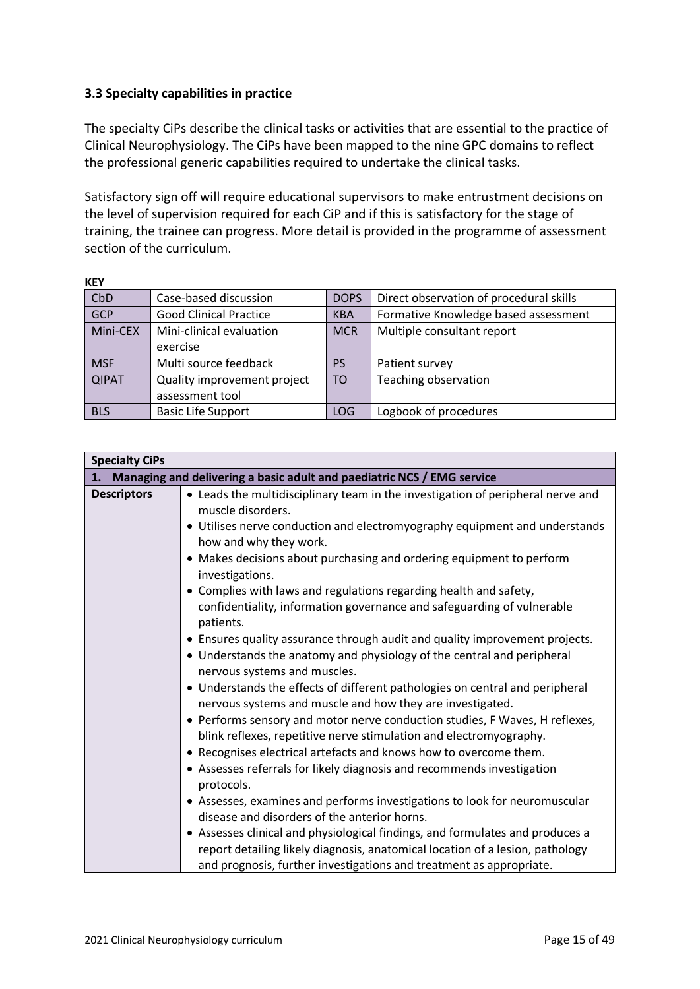# <span id="page-14-0"></span>**3.3 Specialty capabilities in practice**

The specialty CiPs describe the clinical tasks or activities that are essential to the practice of Clinical Neurophysiology. The CiPs have been mapped to the nine GPC domains to reflect the professional generic capabilities required to undertake the clinical tasks.

Satisfactory sign off will require educational supervisors to make entrustment decisions on the level of supervision required for each CiP and if this is satisfactory for the stage of training, the trainee can progress. More detail is provided in the programme of assessment section of the curriculum.

|--|

| CbD          | Case-based discussion         | <b>DOPS</b> | Direct observation of procedural skills |
|--------------|-------------------------------|-------------|-----------------------------------------|
| GCP          | <b>Good Clinical Practice</b> | <b>KBA</b>  | Formative Knowledge based assessment    |
| Mini-CEX     | Mini-clinical evaluation      | <b>MCR</b>  | Multiple consultant report              |
|              | exercise                      |             |                                         |
| <b>MSF</b>   | Multi source feedback         | PS          | Patient survey                          |
| <b>QIPAT</b> | Quality improvement project   | <b>TO</b>   | Teaching observation                    |
|              | assessment tool               |             |                                         |
| <b>BLS</b>   | <b>Basic Life Support</b>     | LOG         | Logbook of procedures                   |

| <b>Specialty CiPs</b> |                                                                                                                                                   |  |  |
|-----------------------|---------------------------------------------------------------------------------------------------------------------------------------------------|--|--|
| 1.                    | Managing and delivering a basic adult and paediatric NCS / EMG service                                                                            |  |  |
| <b>Descriptors</b>    | • Leads the multidisciplinary team in the investigation of peripheral nerve and<br>muscle disorders.                                              |  |  |
|                       | • Utilises nerve conduction and electromyography equipment and understands<br>how and why they work.                                              |  |  |
|                       | • Makes decisions about purchasing and ordering equipment to perform<br>investigations.                                                           |  |  |
|                       | • Complies with laws and regulations regarding health and safety,                                                                                 |  |  |
|                       | confidentiality, information governance and safeguarding of vulnerable<br>patients.                                                               |  |  |
|                       | • Ensures quality assurance through audit and quality improvement projects.                                                                       |  |  |
|                       | • Understands the anatomy and physiology of the central and peripheral<br>nervous systems and muscles.                                            |  |  |
|                       | • Understands the effects of different pathologies on central and peripheral<br>nervous systems and muscle and how they are investigated.         |  |  |
|                       | • Performs sensory and motor nerve conduction studies, F Waves, H reflexes,<br>blink reflexes, repetitive nerve stimulation and electromyography. |  |  |
|                       | • Recognises electrical artefacts and knows how to overcome them.                                                                                 |  |  |
|                       | • Assesses referrals for likely diagnosis and recommends investigation<br>protocols.                                                              |  |  |
|                       | • Assesses, examines and performs investigations to look for neuromuscular                                                                        |  |  |
|                       | disease and disorders of the anterior horns.                                                                                                      |  |  |
|                       | • Assesses clinical and physiological findings, and formulates and produces a                                                                     |  |  |
|                       | report detailing likely diagnosis, anatomical location of a lesion, pathology                                                                     |  |  |
|                       | and prognosis, further investigations and treatment as appropriate.                                                                               |  |  |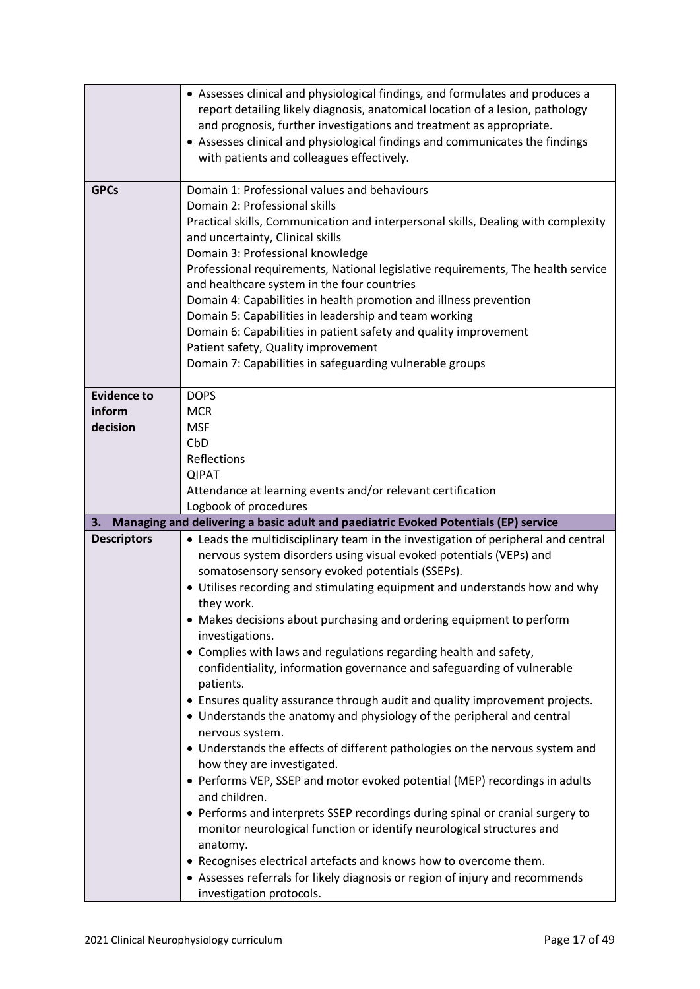|                                          | • Assesses clinical and physiological findings, and formulates and produces a<br>report detailing likely diagnosis, anatomical location of a lesion, pathology<br>and prognosis, further investigations and treatment as appropriate.<br>• Assesses clinical and physiological findings and communicates the findings<br>with patients and colleagues effectively.                                                                                                                                                                                                                                                                                                                                                                                                                                                                                                                                                                                                                                                                                                                                                                                                                                                                                                                                             |
|------------------------------------------|----------------------------------------------------------------------------------------------------------------------------------------------------------------------------------------------------------------------------------------------------------------------------------------------------------------------------------------------------------------------------------------------------------------------------------------------------------------------------------------------------------------------------------------------------------------------------------------------------------------------------------------------------------------------------------------------------------------------------------------------------------------------------------------------------------------------------------------------------------------------------------------------------------------------------------------------------------------------------------------------------------------------------------------------------------------------------------------------------------------------------------------------------------------------------------------------------------------------------------------------------------------------------------------------------------------|
| <b>GPCs</b>                              | Domain 1: Professional values and behaviours<br>Domain 2: Professional skills<br>Practical skills, Communication and interpersonal skills, Dealing with complexity<br>and uncertainty, Clinical skills<br>Domain 3: Professional knowledge<br>Professional requirements, National legislative requirements, The health service<br>and healthcare system in the four countries<br>Domain 4: Capabilities in health promotion and illness prevention<br>Domain 5: Capabilities in leadership and team working<br>Domain 6: Capabilities in patient safety and quality improvement<br>Patient safety, Quality improvement<br>Domain 7: Capabilities in safeguarding vulnerable groups                                                                                                                                                                                                                                                                                                                                                                                                                                                                                                                                                                                                                             |
| <b>Evidence to</b><br>inform<br>decision | <b>DOPS</b><br><b>MCR</b><br><b>MSF</b><br>CbD<br>Reflections<br><b>QIPAT</b><br>Attendance at learning events and/or relevant certification<br>Logbook of procedures                                                                                                                                                                                                                                                                                                                                                                                                                                                                                                                                                                                                                                                                                                                                                                                                                                                                                                                                                                                                                                                                                                                                          |
| 3.                                       | Managing and delivering a basic adult and paediatric Evoked Potentials (EP) service                                                                                                                                                                                                                                                                                                                                                                                                                                                                                                                                                                                                                                                                                                                                                                                                                                                                                                                                                                                                                                                                                                                                                                                                                            |
| <b>Descriptors</b>                       | • Leads the multidisciplinary team in the investigation of peripheral and central<br>nervous system disorders using visual evoked potentials (VEPs) and<br>somatosensory sensory evoked potentials (SSEPs).<br>• Utilises recording and stimulating equipment and understands how and why<br>they work.<br>• Makes decisions about purchasing and ordering equipment to perform<br>investigations.<br>• Complies with laws and regulations regarding health and safety,<br>confidentiality, information governance and safeguarding of vulnerable<br>patients.<br>• Ensures quality assurance through audit and quality improvement projects.<br>• Understands the anatomy and physiology of the peripheral and central<br>nervous system.<br>• Understands the effects of different pathologies on the nervous system and<br>how they are investigated.<br>• Performs VEP, SSEP and motor evoked potential (MEP) recordings in adults<br>and children.<br>• Performs and interprets SSEP recordings during spinal or cranial surgery to<br>monitor neurological function or identify neurological structures and<br>anatomy.<br>• Recognises electrical artefacts and knows how to overcome them.<br>• Assesses referrals for likely diagnosis or region of injury and recommends<br>investigation protocols. |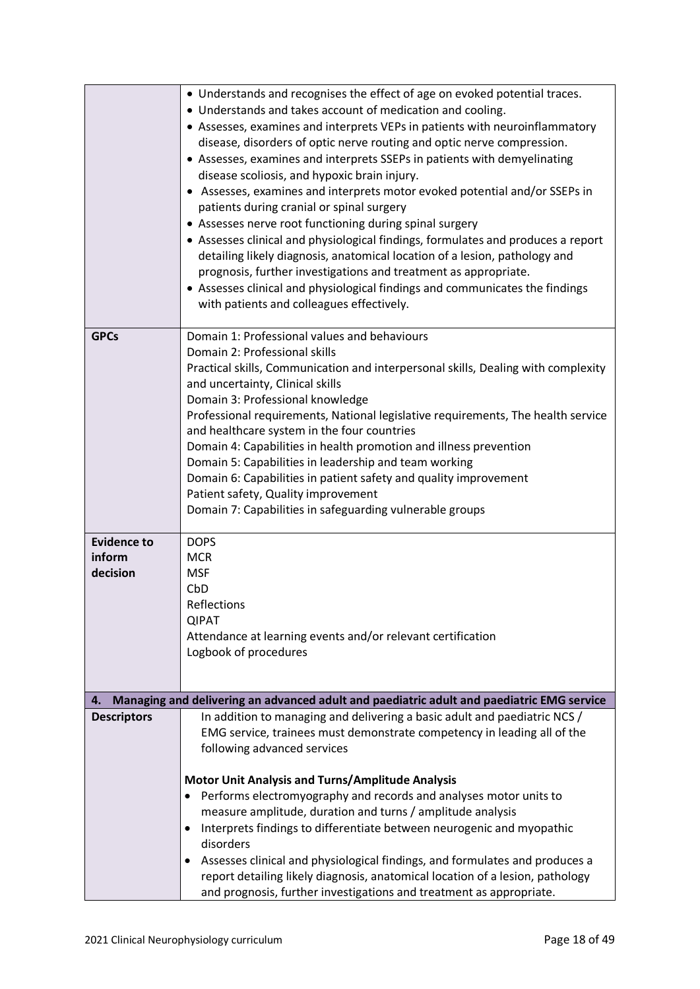|                                          | • Understands and recognises the effect of age on evoked potential traces.<br>• Understands and takes account of medication and cooling.<br>• Assesses, examines and interprets VEPs in patients with neuroinflammatory<br>disease, disorders of optic nerve routing and optic nerve compression.<br>• Assesses, examines and interprets SSEPs in patients with demyelinating<br>disease scoliosis, and hypoxic brain injury.<br>• Assesses, examines and interprets motor evoked potential and/or SSEPs in<br>patients during cranial or spinal surgery<br>• Assesses nerve root functioning during spinal surgery<br>• Assesses clinical and physiological findings, formulates and produces a report<br>detailing likely diagnosis, anatomical location of a lesion, pathology and<br>prognosis, further investigations and treatment as appropriate.<br>• Assesses clinical and physiological findings and communicates the findings<br>with patients and colleagues effectively. |
|------------------------------------------|---------------------------------------------------------------------------------------------------------------------------------------------------------------------------------------------------------------------------------------------------------------------------------------------------------------------------------------------------------------------------------------------------------------------------------------------------------------------------------------------------------------------------------------------------------------------------------------------------------------------------------------------------------------------------------------------------------------------------------------------------------------------------------------------------------------------------------------------------------------------------------------------------------------------------------------------------------------------------------------|
| <b>GPCs</b>                              | Domain 1: Professional values and behaviours<br>Domain 2: Professional skills<br>Practical skills, Communication and interpersonal skills, Dealing with complexity<br>and uncertainty, Clinical skills<br>Domain 3: Professional knowledge<br>Professional requirements, National legislative requirements, The health service<br>and healthcare system in the four countries<br>Domain 4: Capabilities in health promotion and illness prevention<br>Domain 5: Capabilities in leadership and team working<br>Domain 6: Capabilities in patient safety and quality improvement<br>Patient safety, Quality improvement<br>Domain 7: Capabilities in safeguarding vulnerable groups                                                                                                                                                                                                                                                                                                    |
| <b>Evidence to</b><br>inform<br>decision | <b>DOPS</b><br><b>MCR</b><br><b>MSF</b><br>CbD<br>Reflections<br><b>QIPAT</b><br>Attendance at learning events and/or relevant certification<br>Logbook of procedures                                                                                                                                                                                                                                                                                                                                                                                                                                                                                                                                                                                                                                                                                                                                                                                                                 |
| 4.                                       | Managing and delivering an advanced adult and paediatric adult and paediatric EMG service                                                                                                                                                                                                                                                                                                                                                                                                                                                                                                                                                                                                                                                                                                                                                                                                                                                                                             |
| <b>Descriptors</b>                       | In addition to managing and delivering a basic adult and paediatric NCS /<br>EMG service, trainees must demonstrate competency in leading all of the<br>following advanced services                                                                                                                                                                                                                                                                                                                                                                                                                                                                                                                                                                                                                                                                                                                                                                                                   |
|                                          | <b>Motor Unit Analysis and Turns/Amplitude Analysis</b><br>Performs electromyography and records and analyses motor units to<br>measure amplitude, duration and turns / amplitude analysis<br>Interprets findings to differentiate between neurogenic and myopathic<br>disorders<br>Assesses clinical and physiological findings, and formulates and produces a<br>٠<br>report detailing likely diagnosis, anatomical location of a lesion, pathology<br>and prognosis, further investigations and treatment as appropriate.                                                                                                                                                                                                                                                                                                                                                                                                                                                          |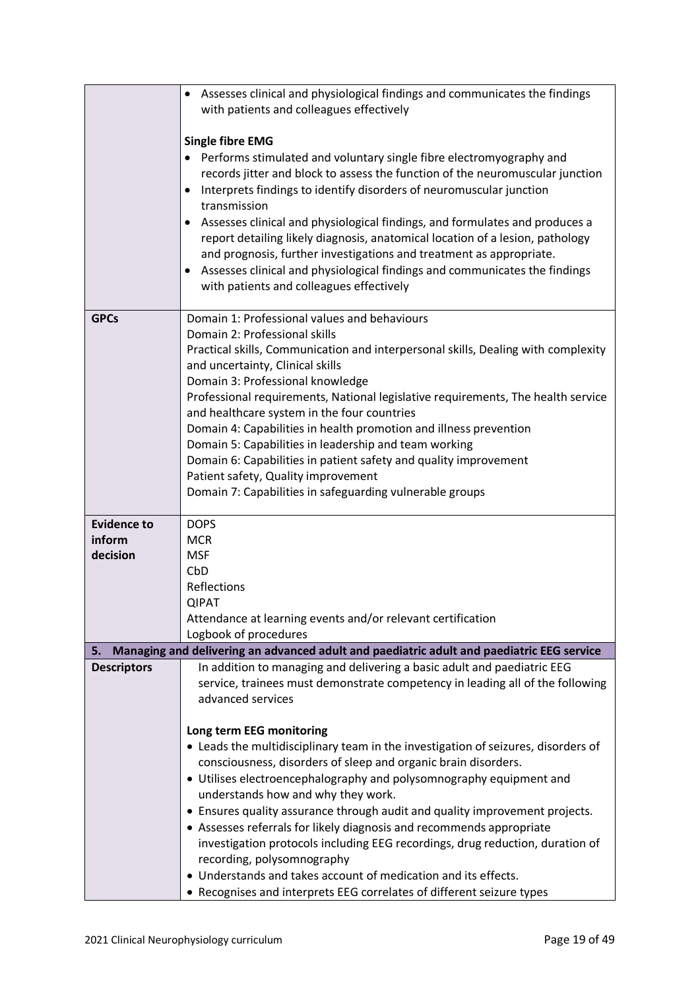|                    | Assesses clinical and physiological findings and communicates the findings<br>$\bullet$<br>with patients and colleagues effectively                               |
|--------------------|-------------------------------------------------------------------------------------------------------------------------------------------------------------------|
|                    |                                                                                                                                                                   |
|                    | <b>Single fibre EMG</b>                                                                                                                                           |
|                    | Performs stimulated and voluntary single fibre electromyography and<br>$\bullet$<br>records jitter and block to assess the function of the neuromuscular junction |
|                    | Interprets findings to identify disorders of neuromuscular junction<br>$\bullet$                                                                                  |
|                    | transmission                                                                                                                                                      |
|                    | Assesses clinical and physiological findings, and formulates and produces a<br>$\bullet$                                                                          |
|                    | report detailing likely diagnosis, anatomical location of a lesion, pathology<br>and prognosis, further investigations and treatment as appropriate.              |
|                    | Assesses clinical and physiological findings and communicates the findings<br>٠                                                                                   |
|                    | with patients and colleagues effectively                                                                                                                          |
| <b>GPCs</b>        | Domain 1: Professional values and behaviours                                                                                                                      |
|                    | Domain 2: Professional skills                                                                                                                                     |
|                    | Practical skills, Communication and interpersonal skills, Dealing with complexity<br>and uncertainty, Clinical skills                                             |
|                    | Domain 3: Professional knowledge                                                                                                                                  |
|                    | Professional requirements, National legislative requirements, The health service                                                                                  |
|                    | and healthcare system in the four countries                                                                                                                       |
|                    | Domain 4: Capabilities in health promotion and illness prevention<br>Domain 5: Capabilities in leadership and team working                                        |
|                    | Domain 6: Capabilities in patient safety and quality improvement                                                                                                  |
|                    | Patient safety, Quality improvement                                                                                                                               |
|                    | Domain 7: Capabilities in safeguarding vulnerable groups                                                                                                          |
| <b>Evidence to</b> | <b>DOPS</b>                                                                                                                                                       |
| inform             | <b>MCR</b>                                                                                                                                                        |
| decision           | <b>MSF</b>                                                                                                                                                        |
|                    | CbD<br>Reflections                                                                                                                                                |
|                    | <b>QIPAT</b>                                                                                                                                                      |
|                    | Attendance at learning events and/or relevant certification                                                                                                       |
|                    | Logbook of procedures                                                                                                                                             |
| 5.                 | Managing and delivering an advanced adult and paediatric adult and paediatric EEG service                                                                         |
| <b>Descriptors</b> | In addition to managing and delivering a basic adult and paediatric EEG                                                                                           |
|                    | service, trainees must demonstrate competency in leading all of the following<br>advanced services                                                                |
|                    |                                                                                                                                                                   |
|                    | Long term EEG monitoring                                                                                                                                          |
|                    | • Leads the multidisciplinary team in the investigation of seizures, disorders of                                                                                 |
|                    | consciousness, disorders of sleep and organic brain disorders.                                                                                                    |
|                    | • Utilises electroencephalography and polysomnography equipment and<br>understands how and why they work.                                                         |
|                    | • Ensures quality assurance through audit and quality improvement projects.                                                                                       |
|                    | • Assesses referrals for likely diagnosis and recommends appropriate                                                                                              |
|                    | investigation protocols including EEG recordings, drug reduction, duration of                                                                                     |
|                    | recording, polysomnography                                                                                                                                        |
|                    | • Understands and takes account of medication and its effects.                                                                                                    |
|                    | • Recognises and interprets EEG correlates of different seizure types                                                                                             |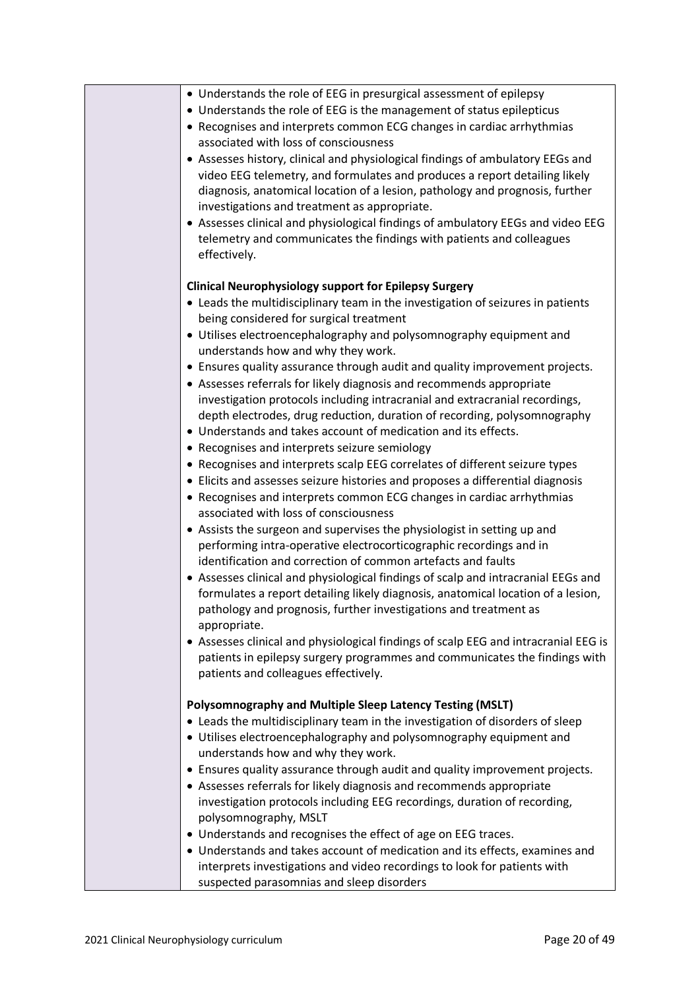| • Understands the role of EEG in presurgical assessment of epilepsy                                                                             |
|-------------------------------------------------------------------------------------------------------------------------------------------------|
| • Understands the role of EEG is the management of status epilepticus                                                                           |
| • Recognises and interprets common ECG changes in cardiac arrhythmias                                                                           |
| associated with loss of consciousness                                                                                                           |
| • Assesses history, clinical and physiological findings of ambulatory EEGs and                                                                  |
| video EEG telemetry, and formulates and produces a report detailing likely                                                                      |
| diagnosis, anatomical location of a lesion, pathology and prognosis, further                                                                    |
| investigations and treatment as appropriate.                                                                                                    |
| • Assesses clinical and physiological findings of ambulatory EEGs and video EEG                                                                 |
| telemetry and communicates the findings with patients and colleagues                                                                            |
| effectively.                                                                                                                                    |
|                                                                                                                                                 |
| <b>Clinical Neurophysiology support for Epilepsy Surgery</b><br>• Leads the multidisciplinary team in the investigation of seizures in patients |
| being considered for surgical treatment                                                                                                         |
| • Utilises electroencephalography and polysomnography equipment and                                                                             |
| understands how and why they work.                                                                                                              |
| • Ensures quality assurance through audit and quality improvement projects.                                                                     |
| • Assesses referrals for likely diagnosis and recommends appropriate                                                                            |
| investigation protocols including intracranial and extracranial recordings,                                                                     |
| depth electrodes, drug reduction, duration of recording, polysomnography                                                                        |
| • Understands and takes account of medication and its effects.                                                                                  |
| • Recognises and interprets seizure semiology                                                                                                   |
| • Recognises and interprets scalp EEG correlates of different seizure types                                                                     |
| • Elicits and assesses seizure histories and proposes a differential diagnosis                                                                  |
| • Recognises and interprets common ECG changes in cardiac arrhythmias                                                                           |
| associated with loss of consciousness                                                                                                           |
| • Assists the surgeon and supervises the physiologist in setting up and                                                                         |
| performing intra-operative electrocorticographic recordings and in                                                                              |
| identification and correction of common artefacts and faults                                                                                    |
| • Assesses clinical and physiological findings of scalp and intracranial EEGs and                                                               |
| formulates a report detailing likely diagnosis, anatomical location of a lesion,                                                                |
| pathology and prognosis, further investigations and treatment as                                                                                |
| appropriate.                                                                                                                                    |
| • Assesses clinical and physiological findings of scalp EEG and intracranial EEG is                                                             |
| patients in epilepsy surgery programmes and communicates the findings with                                                                      |
| patients and colleagues effectively.                                                                                                            |
| Polysomnography and Multiple Sleep Latency Testing (MSLT)                                                                                       |
| • Leads the multidisciplinary team in the investigation of disorders of sleep                                                                   |
| • Utilises electroencephalography and polysomnography equipment and                                                                             |
| understands how and why they work.                                                                                                              |
| • Ensures quality assurance through audit and quality improvement projects.                                                                     |
| • Assesses referrals for likely diagnosis and recommends appropriate                                                                            |
| investigation protocols including EEG recordings, duration of recording,                                                                        |
| polysomnography, MSLT                                                                                                                           |
| • Understands and recognises the effect of age on EEG traces.                                                                                   |
| • Understands and takes account of medication and its effects, examines and                                                                     |
| interprets investigations and video recordings to look for patients with                                                                        |
| suspected parasomnias and sleep disorders                                                                                                       |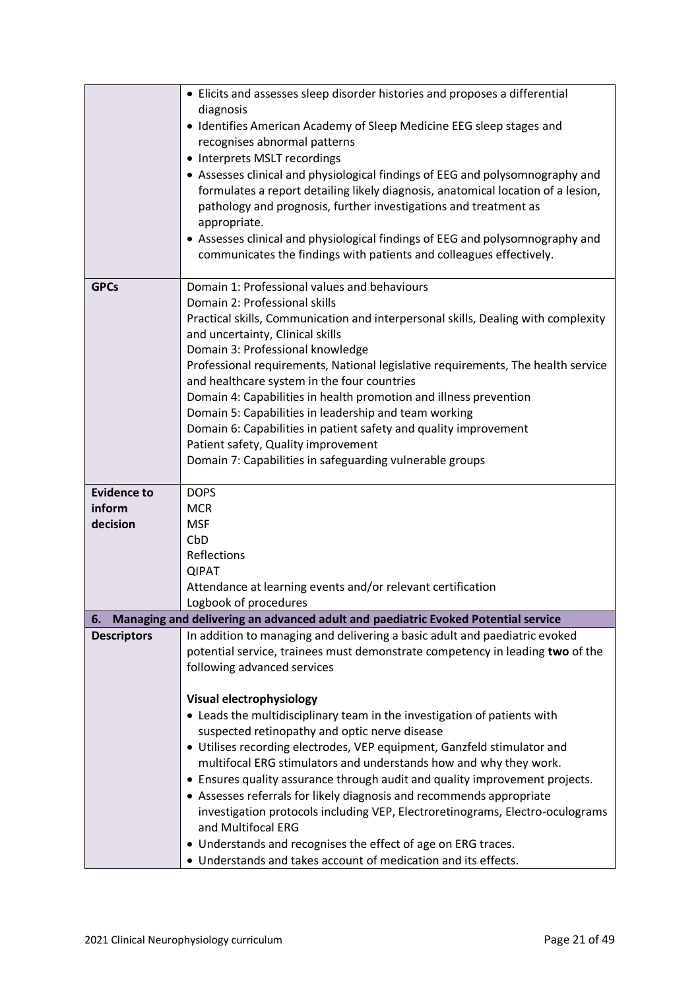|                    | • Elicits and assesses sleep disorder histories and proposes a differential<br>diagnosis                                                                             |
|--------------------|----------------------------------------------------------------------------------------------------------------------------------------------------------------------|
|                    | • Identifies American Academy of Sleep Medicine EEG sleep stages and                                                                                                 |
|                    | recognises abnormal patterns                                                                                                                                         |
|                    | • Interprets MSLT recordings<br>• Assesses clinical and physiological findings of EEG and polysomnography and                                                        |
|                    | formulates a report detailing likely diagnosis, anatomical location of a lesion,<br>pathology and prognosis, further investigations and treatment as<br>appropriate. |
|                    | • Assesses clinical and physiological findings of EEG and polysomnography and                                                                                        |
|                    | communicates the findings with patients and colleagues effectively.                                                                                                  |
| <b>GPCs</b>        | Domain 1: Professional values and behaviours<br>Domain 2: Professional skills                                                                                        |
|                    | Practical skills, Communication and interpersonal skills, Dealing with complexity                                                                                    |
|                    | and uncertainty, Clinical skills                                                                                                                                     |
|                    | Domain 3: Professional knowledge                                                                                                                                     |
|                    | Professional requirements, National legislative requirements, The health service<br>and healthcare system in the four countries                                      |
|                    | Domain 4: Capabilities in health promotion and illness prevention                                                                                                    |
|                    | Domain 5: Capabilities in leadership and team working                                                                                                                |
|                    | Domain 6: Capabilities in patient safety and quality improvement                                                                                                     |
|                    | Patient safety, Quality improvement<br>Domain 7: Capabilities in safeguarding vulnerable groups                                                                      |
|                    |                                                                                                                                                                      |
| <b>Evidence to</b> | <b>DOPS</b>                                                                                                                                                          |
| inform             | <b>MCR</b>                                                                                                                                                           |
| decision           | <b>MSF</b>                                                                                                                                                           |
|                    | CbD<br>Reflections                                                                                                                                                   |
|                    | <b>QIPAT</b>                                                                                                                                                         |
|                    | Attendance at learning events and/or relevant certification                                                                                                          |
|                    | Logbook of procedures                                                                                                                                                |
| 6.                 | Managing and delivering an advanced adult and paediatric Evoked Potential service                                                                                    |
| <b>Descriptors</b> | In addition to managing and delivering a basic adult and paediatric evoked<br>potential service, trainees must demonstrate competency in leading two of the          |
|                    | following advanced services                                                                                                                                          |
|                    |                                                                                                                                                                      |
|                    | <b>Visual electrophysiology</b>                                                                                                                                      |
|                    | • Leads the multidisciplinary team in the investigation of patients with                                                                                             |
|                    | suspected retinopathy and optic nerve disease<br>• Utilises recording electrodes, VEP equipment, Ganzfeld stimulator and                                             |
|                    | multifocal ERG stimulators and understands how and why they work.                                                                                                    |
|                    | • Ensures quality assurance through audit and quality improvement projects.                                                                                          |
|                    | • Assesses referrals for likely diagnosis and recommends appropriate                                                                                                 |
|                    | investigation protocols including VEP, Electroretinograms, Electro-oculograms                                                                                        |
|                    | and Multifocal ERG                                                                                                                                                   |
|                    | • Understands and recognises the effect of age on ERG traces.<br>• Understands and takes account of medication and its effects.                                      |
|                    |                                                                                                                                                                      |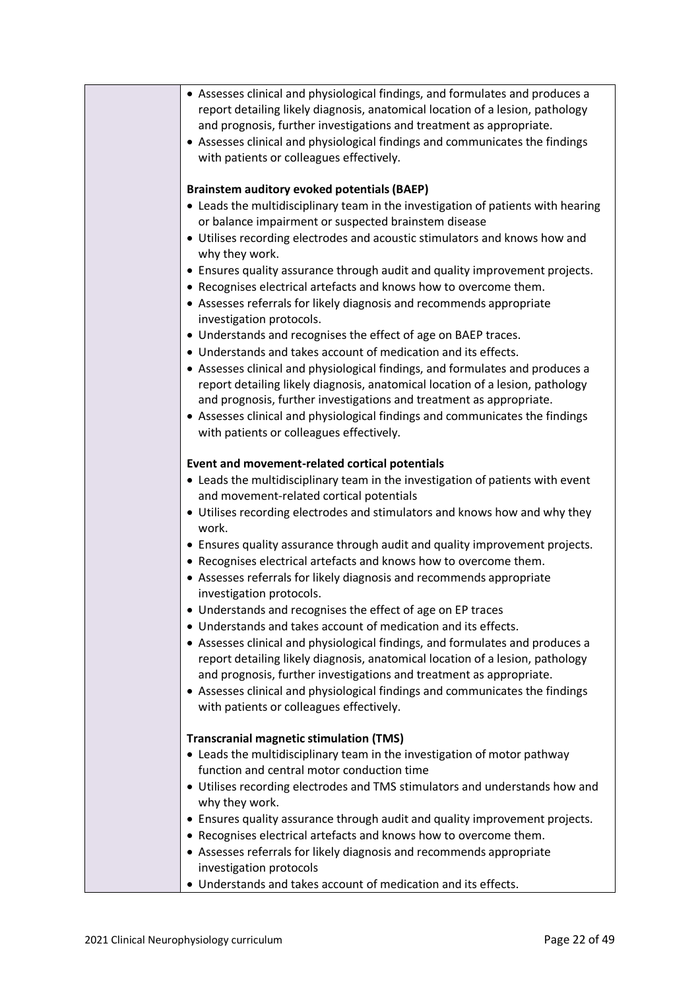| • Assesses clinical and physiological findings, and formulates and produces a                                                                       |
|-----------------------------------------------------------------------------------------------------------------------------------------------------|
| report detailing likely diagnosis, anatomical location of a lesion, pathology                                                                       |
| and prognosis, further investigations and treatment as appropriate.<br>• Assesses clinical and physiological findings and communicates the findings |
| with patients or colleagues effectively.                                                                                                            |
|                                                                                                                                                     |
| <b>Brainstem auditory evoked potentials (BAEP)</b>                                                                                                  |
| • Leads the multidisciplinary team in the investigation of patients with hearing                                                                    |
| or balance impairment or suspected brainstem disease                                                                                                |
| • Utilises recording electrodes and acoustic stimulators and knows how and                                                                          |
| why they work.                                                                                                                                      |
| • Ensures quality assurance through audit and quality improvement projects.                                                                         |
| • Recognises electrical artefacts and knows how to overcome them.                                                                                   |
| • Assesses referrals for likely diagnosis and recommends appropriate                                                                                |
| investigation protocols.                                                                                                                            |
| • Understands and recognises the effect of age on BAEP traces.<br>• Understands and takes account of medication and its effects.                    |
| • Assesses clinical and physiological findings, and formulates and produces a                                                                       |
| report detailing likely diagnosis, anatomical location of a lesion, pathology                                                                       |
| and prognosis, further investigations and treatment as appropriate.                                                                                 |
| • Assesses clinical and physiological findings and communicates the findings                                                                        |
| with patients or colleagues effectively.                                                                                                            |
|                                                                                                                                                     |
| Event and movement-related cortical potentials                                                                                                      |
| • Leads the multidisciplinary team in the investigation of patients with event                                                                      |
| and movement-related cortical potentials                                                                                                            |
| • Utilises recording electrodes and stimulators and knows how and why they<br>work.                                                                 |
| • Ensures quality assurance through audit and quality improvement projects.                                                                         |
| • Recognises electrical artefacts and knows how to overcome them.                                                                                   |
| • Assesses referrals for likely diagnosis and recommends appropriate                                                                                |
| investigation protocols.                                                                                                                            |
| Understands and recognises the effect of age on EP traces                                                                                           |
| • Understands and takes account of medication and its effects.                                                                                      |
| • Assesses clinical and physiological findings, and formulates and produces a                                                                       |
| report detailing likely diagnosis, anatomical location of a lesion, pathology                                                                       |
| and prognosis, further investigations and treatment as appropriate.<br>• Assesses clinical and physiological findings and communicates the findings |
| with patients or colleagues effectively.                                                                                                            |
|                                                                                                                                                     |
| <b>Transcranial magnetic stimulation (TMS)</b>                                                                                                      |
| • Leads the multidisciplinary team in the investigation of motor pathway                                                                            |
| function and central motor conduction time                                                                                                          |
| • Utilises recording electrodes and TMS stimulators and understands how and                                                                         |
| why they work.                                                                                                                                      |
| • Ensures quality assurance through audit and quality improvement projects.                                                                         |
| • Recognises electrical artefacts and knows how to overcome them.                                                                                   |
| • Assesses referrals for likely diagnosis and recommends appropriate                                                                                |
| investigation protocols<br>• Understands and takes account of medication and its effects.                                                           |
|                                                                                                                                                     |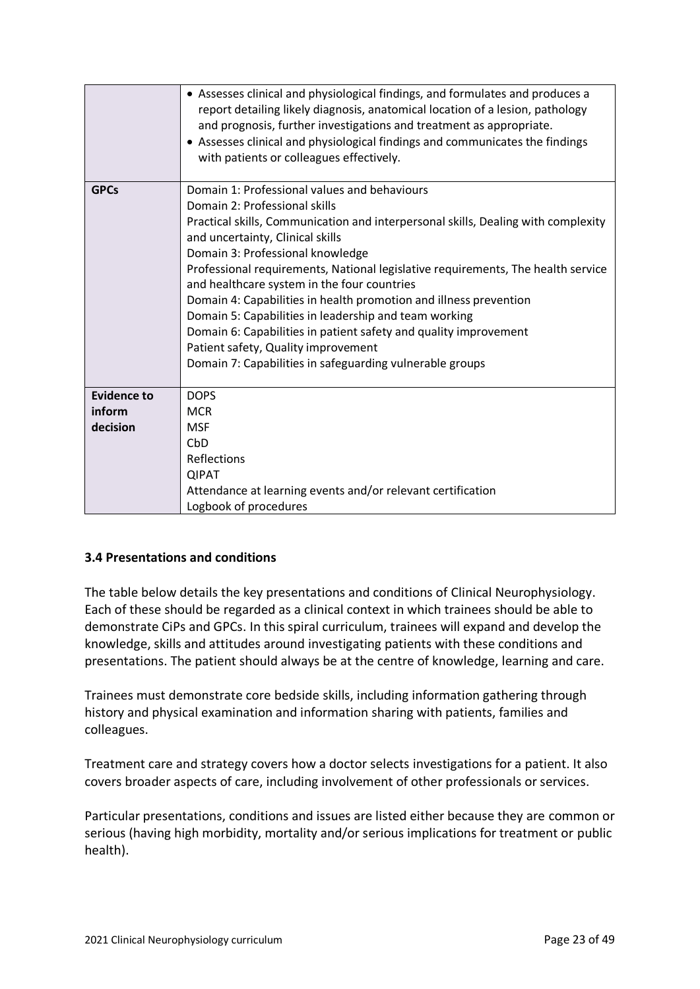|                    | • Assesses clinical and physiological findings, and formulates and produces a<br>report detailing likely diagnosis, anatomical location of a lesion, pathology<br>and prognosis, further investigations and treatment as appropriate.<br>• Assesses clinical and physiological findings and communicates the findings<br>with patients or colleagues effectively.                                                                                                                                                                                                                                                                                                                  |
|--------------------|------------------------------------------------------------------------------------------------------------------------------------------------------------------------------------------------------------------------------------------------------------------------------------------------------------------------------------------------------------------------------------------------------------------------------------------------------------------------------------------------------------------------------------------------------------------------------------------------------------------------------------------------------------------------------------|
| <b>GPCs</b>        | Domain 1: Professional values and behaviours<br>Domain 2: Professional skills<br>Practical skills, Communication and interpersonal skills, Dealing with complexity<br>and uncertainty, Clinical skills<br>Domain 3: Professional knowledge<br>Professional requirements, National legislative requirements, The health service<br>and healthcare system in the four countries<br>Domain 4: Capabilities in health promotion and illness prevention<br>Domain 5: Capabilities in leadership and team working<br>Domain 6: Capabilities in patient safety and quality improvement<br>Patient safety, Quality improvement<br>Domain 7: Capabilities in safeguarding vulnerable groups |
| <b>Evidence to</b> | <b>DOPS</b>                                                                                                                                                                                                                                                                                                                                                                                                                                                                                                                                                                                                                                                                        |
| inform             | <b>MCR</b>                                                                                                                                                                                                                                                                                                                                                                                                                                                                                                                                                                                                                                                                         |
| decision           | <b>MSF</b>                                                                                                                                                                                                                                                                                                                                                                                                                                                                                                                                                                                                                                                                         |
|                    | CbD                                                                                                                                                                                                                                                                                                                                                                                                                                                                                                                                                                                                                                                                                |
|                    | Reflections                                                                                                                                                                                                                                                                                                                                                                                                                                                                                                                                                                                                                                                                        |
|                    | <b>QIPAT</b>                                                                                                                                                                                                                                                                                                                                                                                                                                                                                                                                                                                                                                                                       |
|                    | Attendance at learning events and/or relevant certification                                                                                                                                                                                                                                                                                                                                                                                                                                                                                                                                                                                                                        |
|                    | Logbook of procedures                                                                                                                                                                                                                                                                                                                                                                                                                                                                                                                                                                                                                                                              |

## <span id="page-22-0"></span>**3.4 Presentations and conditions**

The table below details the key presentations and conditions of Clinical Neurophysiology. Each of these should be regarded as a clinical context in which trainees should be able to demonstrate CiPs and GPCs. In this spiral curriculum, trainees will expand and develop the knowledge, skills and attitudes around investigating patients with these conditions and presentations. The patient should always be at the centre of knowledge, learning and care.

Trainees must demonstrate core bedside skills, including information gathering through history and physical examination and information sharing with patients, families and colleagues.

Treatment care and strategy covers how a doctor selects investigations for a patient. It also covers broader aspects of care, including involvement of other professionals or services.

Particular presentations, conditions and issues are listed either because they are common or serious (having high morbidity, mortality and/or serious implications for treatment or public health).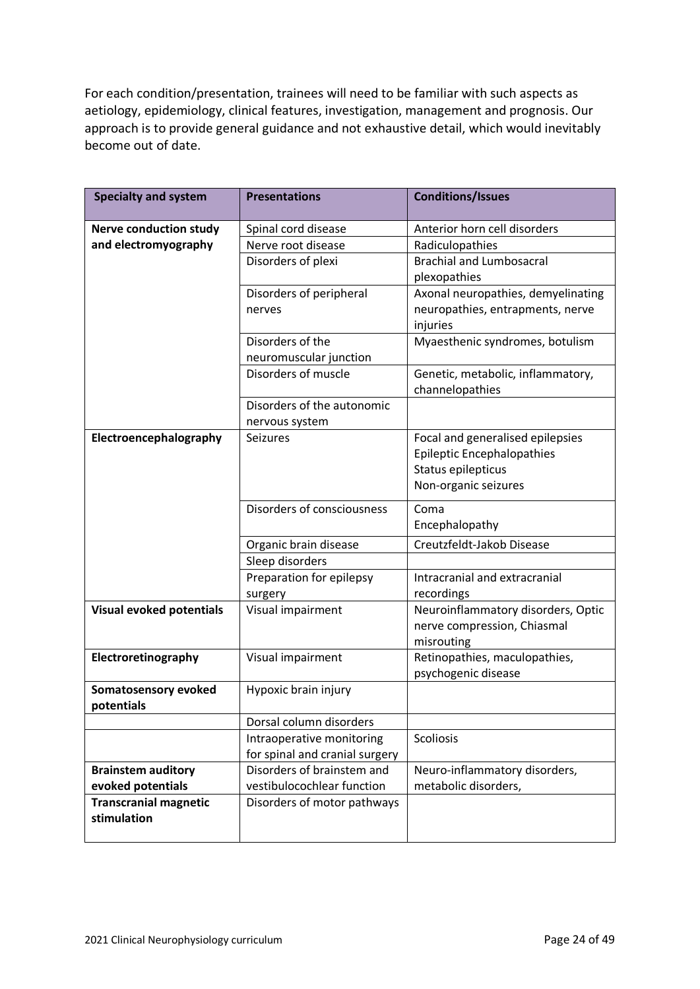For each condition/presentation, trainees will need to be familiar with such aspects as aetiology, epidemiology, clinical features, investigation, management and prognosis. Our approach is to provide general guidance and not exhaustive detail, which would inevitably become out of date.

| <b>Specialty and system</b>     | <b>Presentations</b>           | <b>Conditions/Issues</b>           |
|---------------------------------|--------------------------------|------------------------------------|
| <b>Nerve conduction study</b>   | Spinal cord disease            | Anterior horn cell disorders       |
| and electromyography            | Nerve root disease             | Radiculopathies                    |
|                                 | Disorders of plexi             | <b>Brachial and Lumbosacral</b>    |
|                                 |                                | plexopathies                       |
|                                 | Disorders of peripheral        | Axonal neuropathies, demyelinating |
|                                 | nerves                         | neuropathies, entrapments, nerve   |
|                                 |                                | injuries                           |
|                                 | Disorders of the               | Myaesthenic syndromes, botulism    |
|                                 | neuromuscular junction         |                                    |
|                                 | Disorders of muscle            | Genetic, metabolic, inflammatory,  |
|                                 |                                | channelopathies                    |
|                                 | Disorders of the autonomic     |                                    |
|                                 | nervous system                 |                                    |
| Electroencephalography          | <b>Seizures</b>                | Focal and generalised epilepsies   |
|                                 |                                | <b>Epileptic Encephalopathies</b>  |
|                                 |                                | Status epilepticus                 |
|                                 |                                | Non-organic seizures               |
|                                 | Disorders of consciousness     | Coma                               |
|                                 |                                | Encephalopathy                     |
|                                 | Organic brain disease          | Creutzfeldt-Jakob Disease          |
|                                 | Sleep disorders                |                                    |
|                                 | Preparation for epilepsy       | Intracranial and extracranial      |
|                                 | surgery                        | recordings                         |
| <b>Visual evoked potentials</b> | Visual impairment              | Neuroinflammatory disorders, Optic |
|                                 |                                | nerve compression, Chiasmal        |
|                                 |                                | misrouting                         |
| Electroretinography             | Visual impairment              | Retinopathies, maculopathies,      |
|                                 |                                | psychogenic disease                |
| <b>Somatosensory evoked</b>     | Hypoxic brain injury           |                                    |
| potentials                      |                                |                                    |
|                                 | Dorsal column disorders        |                                    |
|                                 | Intraoperative monitoring      | Scoliosis                          |
|                                 | for spinal and cranial surgery |                                    |
| <b>Brainstem auditory</b>       | Disorders of brainstem and     | Neuro-inflammatory disorders,      |
| evoked potentials               | vestibulocochlear function     | metabolic disorders,               |
| <b>Transcranial magnetic</b>    | Disorders of motor pathways    |                                    |
| stimulation                     |                                |                                    |
|                                 |                                |                                    |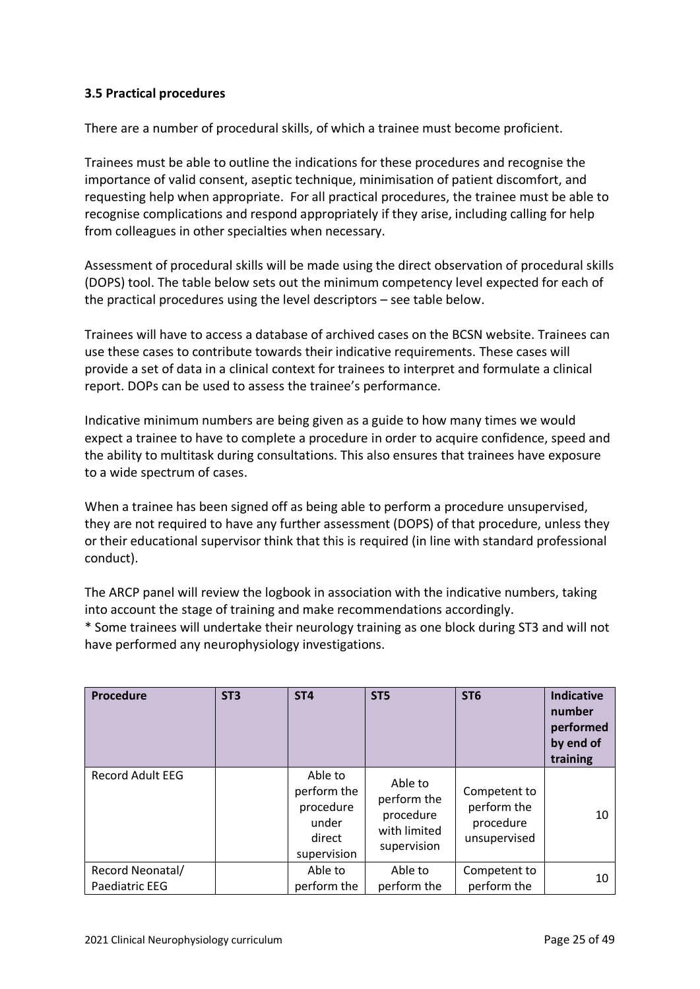## <span id="page-24-0"></span>**3.5 Practical procedures**

There are a number of procedural skills, of which a trainee must become proficient.

Trainees must be able to outline the indications for these procedures and recognise the importance of valid consent, aseptic technique, minimisation of patient discomfort, and requesting help when appropriate. For all practical procedures, the trainee must be able to recognise complications and respond appropriately if they arise, including calling for help from colleagues in other specialties when necessary.

Assessment of procedural skills will be made using the direct observation of procedural skills (DOPS) tool. The table below sets out the minimum competency level expected for each of the practical procedures using the level descriptors – see table below.

Trainees will have to access a database of archived cases on the BCSN website. Trainees can use these cases to contribute towards their indicative requirements. These cases will provide a set of data in a clinical context for trainees to interpret and formulate a clinical report. DOPs can be used to assess the trainee's performance.

Indicative minimum numbers are being given as a guide to how many times we would expect a trainee to have to complete a procedure in order to acquire confidence, speed and the ability to multitask during consultations. This also ensures that trainees have exposure to a wide spectrum of cases.

When a trainee has been signed off as being able to perform a procedure unsupervised, they are not required to have any further assessment (DOPS) of that procedure, unless they or their educational supervisor think that this is required (in line with standard professional conduct).

The ARCP panel will review the logbook in association with the indicative numbers, taking into account the stage of training and make recommendations accordingly.

\* Some trainees will undertake their neurology training as one block during ST3 and will not have performed any neurophysiology investigations.

| <b>Procedure</b>                          | ST <sub>3</sub> | ST <sub>4</sub>                                                       | ST <sub>5</sub>                                                    | ST <sub>6</sub>                                          | <b>Indicative</b><br>number<br>performed<br>by end of<br>training |
|-------------------------------------------|-----------------|-----------------------------------------------------------------------|--------------------------------------------------------------------|----------------------------------------------------------|-------------------------------------------------------------------|
| <b>Record Adult EEG</b>                   |                 | Able to<br>perform the<br>procedure<br>under<br>direct<br>supervision | Able to<br>perform the<br>procedure<br>with limited<br>supervision | Competent to<br>perform the<br>procedure<br>unsupervised | 10                                                                |
| Record Neonatal/<br><b>Paediatric EEG</b> |                 | Able to<br>perform the                                                | Able to<br>perform the                                             | Competent to<br>perform the                              | 10                                                                |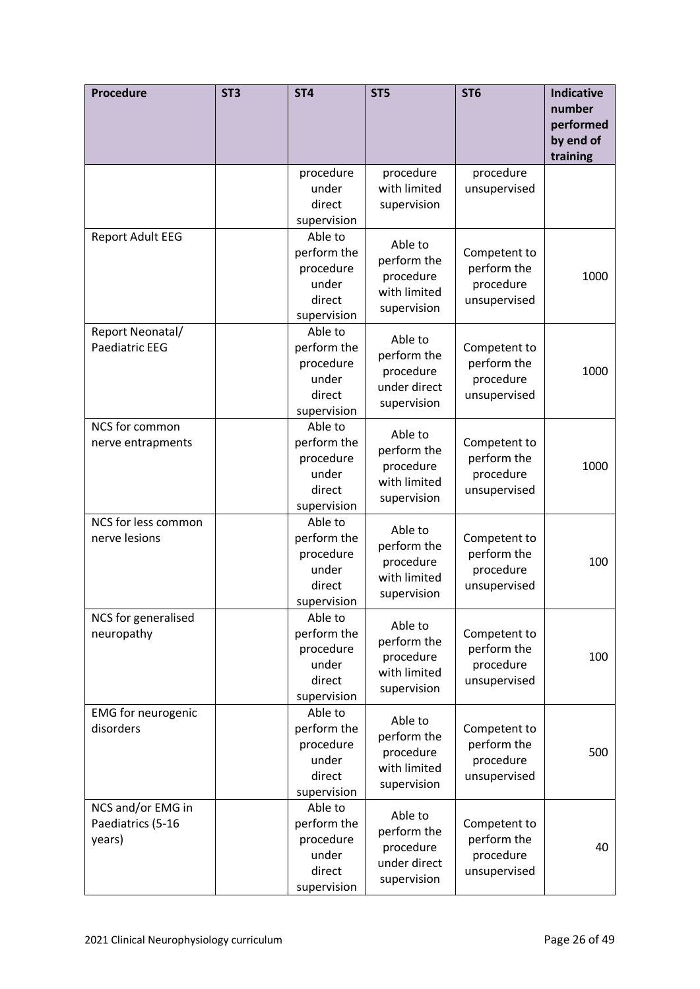| <b>Procedure</b>                                 | ST <sub>3</sub> | ST <sub>4</sub>                                                       | ST <sub>5</sub>                                                    | ST <sub>6</sub>                                          | <b>Indicative</b><br>number<br>performed<br>by end of<br>training |
|--------------------------------------------------|-----------------|-----------------------------------------------------------------------|--------------------------------------------------------------------|----------------------------------------------------------|-------------------------------------------------------------------|
|                                                  |                 | procedure<br>under<br>direct<br>supervision                           | procedure<br>with limited<br>supervision                           | procedure<br>unsupervised                                |                                                                   |
| <b>Report Adult EEG</b>                          |                 | Able to<br>perform the<br>procedure<br>under<br>direct<br>supervision | Able to<br>perform the<br>procedure<br>with limited<br>supervision | Competent to<br>perform the<br>procedure<br>unsupervised | 1000                                                              |
| Report Neonatal/<br><b>Paediatric EEG</b>        |                 | Able to<br>perform the<br>procedure<br>under<br>direct<br>supervision | Able to<br>perform the<br>procedure<br>under direct<br>supervision | Competent to<br>perform the<br>procedure<br>unsupervised | 1000                                                              |
| NCS for common<br>nerve entrapments              |                 | Able to<br>perform the<br>procedure<br>under<br>direct<br>supervision | Able to<br>perform the<br>procedure<br>with limited<br>supervision | Competent to<br>perform the<br>procedure<br>unsupervised | 1000                                                              |
| NCS for less common<br>nerve lesions             |                 | Able to<br>perform the<br>procedure<br>under<br>direct<br>supervision | Able to<br>perform the<br>procedure<br>with limited<br>supervision | Competent to<br>perform the<br>procedure<br>unsupervised | 100                                                               |
| NCS for generalised<br>neuropathy                |                 | Able to<br>perform the<br>procedure<br>under<br>direct<br>supervision | Able to<br>perform the<br>procedure<br>with limited<br>supervision | Competent to<br>perform the<br>procedure<br>unsupervised | 100                                                               |
| <b>EMG</b> for neurogenic<br>disorders           |                 | Able to<br>perform the<br>procedure<br>under<br>direct<br>supervision | Able to<br>perform the<br>procedure<br>with limited<br>supervision | Competent to<br>perform the<br>procedure<br>unsupervised | 500                                                               |
| NCS and/or EMG in<br>Paediatrics (5-16<br>years) |                 | Able to<br>perform the<br>procedure<br>under<br>direct<br>supervision | Able to<br>perform the<br>procedure<br>under direct<br>supervision | Competent to<br>perform the<br>procedure<br>unsupervised | 40                                                                |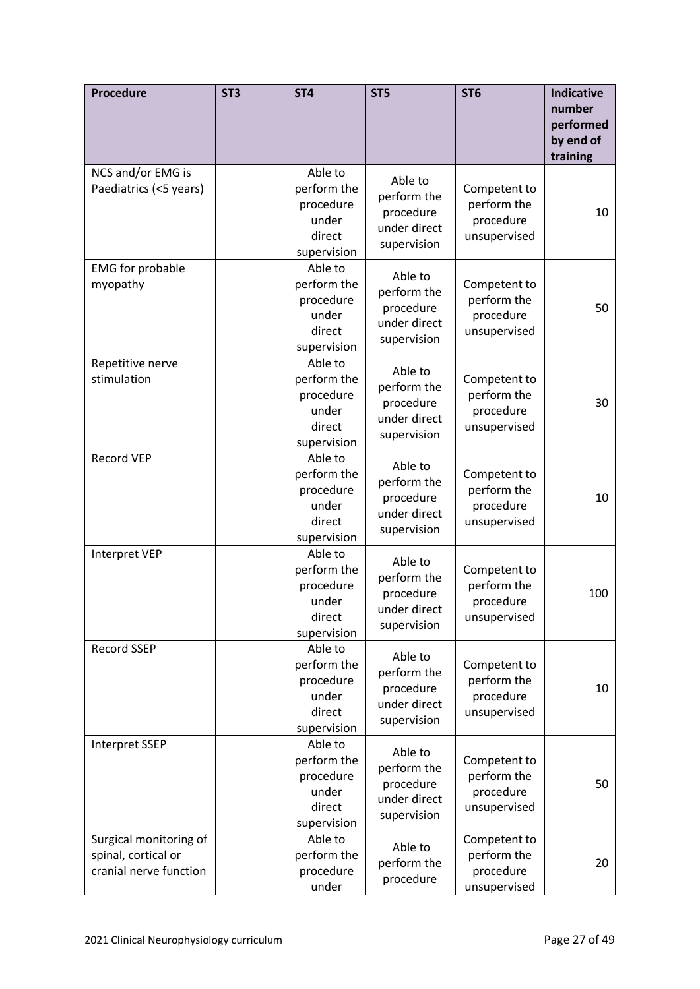| <b>Procedure</b>                                                        | ST <sub>3</sub> | ST <sub>4</sub>                                                       | ST <sub>5</sub>                                                    | ST <sub>6</sub>                                          | <b>Indicative</b><br>number<br>performed<br>by end of<br>training |
|-------------------------------------------------------------------------|-----------------|-----------------------------------------------------------------------|--------------------------------------------------------------------|----------------------------------------------------------|-------------------------------------------------------------------|
| NCS and/or EMG is<br>Paediatrics (<5 years)                             |                 | Able to<br>perform the<br>procedure<br>under<br>direct<br>supervision | Able to<br>perform the<br>procedure<br>under direct<br>supervision | Competent to<br>perform the<br>procedure<br>unsupervised | 10                                                                |
| <b>EMG</b> for probable<br>myopathy                                     |                 | Able to<br>perform the<br>procedure<br>under<br>direct<br>supervision | Able to<br>perform the<br>procedure<br>under direct<br>supervision | Competent to<br>perform the<br>procedure<br>unsupervised | 50                                                                |
| Repetitive nerve<br>stimulation                                         |                 | Able to<br>perform the<br>procedure<br>under<br>direct<br>supervision | Able to<br>perform the<br>procedure<br>under direct<br>supervision | Competent to<br>perform the<br>procedure<br>unsupervised | 30                                                                |
| <b>Record VEP</b>                                                       |                 | Able to<br>perform the<br>procedure<br>under<br>direct<br>supervision | Able to<br>perform the<br>procedure<br>under direct<br>supervision | Competent to<br>perform the<br>procedure<br>unsupervised | 10                                                                |
| Interpret VEP                                                           |                 | Able to<br>perform the<br>procedure<br>under<br>direct<br>supervision | Able to<br>perform the<br>procedure<br>under direct<br>supervision | Competent to<br>perform the<br>procedure<br>unsupervised | 100                                                               |
| Record SSEP                                                             |                 | Able to<br>perform the<br>procedure<br>under<br>direct<br>supervision | Able to<br>perform the<br>procedure<br>under direct<br>supervision | Competent to<br>perform the<br>procedure<br>unsupervised | 10                                                                |
| <b>Interpret SSEP</b>                                                   |                 | Able to<br>perform the<br>procedure<br>under<br>direct<br>supervision | Able to<br>perform the<br>procedure<br>under direct<br>supervision | Competent to<br>perform the<br>procedure<br>unsupervised | 50                                                                |
| Surgical monitoring of<br>spinal, cortical or<br>cranial nerve function |                 | Able to<br>perform the<br>procedure<br>under                          | Able to<br>perform the<br>procedure                                | Competent to<br>perform the<br>procedure<br>unsupervised | 20                                                                |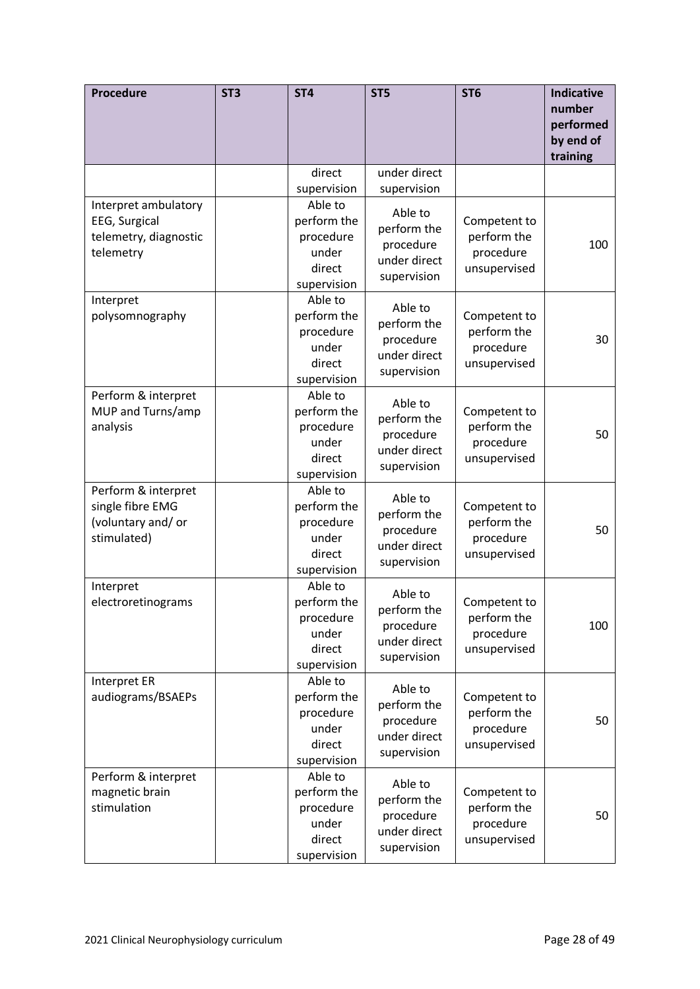| Procedure                                                                    | ST <sub>3</sub> | ST <sub>4</sub>                                                       | ST <sub>5</sub>                                                    | ST <sub>6</sub>                                          | <b>Indicative</b><br>number<br>performed<br>by end of<br>training |
|------------------------------------------------------------------------------|-----------------|-----------------------------------------------------------------------|--------------------------------------------------------------------|----------------------------------------------------------|-------------------------------------------------------------------|
|                                                                              |                 | direct                                                                | under direct                                                       |                                                          |                                                                   |
|                                                                              |                 | supervision                                                           | supervision                                                        |                                                          |                                                                   |
| Interpret ambulatory<br>EEG, Surgical<br>telemetry, diagnostic<br>telemetry  |                 | Able to<br>perform the<br>procedure<br>under<br>direct<br>supervision | Able to<br>perform the<br>procedure<br>under direct<br>supervision | Competent to<br>perform the<br>procedure<br>unsupervised | 100                                                               |
| Interpret<br>polysomnography                                                 |                 | Able to<br>perform the<br>procedure<br>under<br>direct<br>supervision | Able to<br>perform the<br>procedure<br>under direct<br>supervision | Competent to<br>perform the<br>procedure<br>unsupervised | 30                                                                |
| Perform & interpret<br>MUP and Turns/amp<br>analysis                         |                 | Able to<br>perform the<br>procedure<br>under<br>direct<br>supervision | Able to<br>perform the<br>procedure<br>under direct<br>supervision | Competent to<br>perform the<br>procedure<br>unsupervised | 50                                                                |
| Perform & interpret<br>single fibre EMG<br>(voluntary and/ or<br>stimulated) |                 | Able to<br>perform the<br>procedure<br>under<br>direct<br>supervision | Able to<br>perform the<br>procedure<br>under direct<br>supervision | Competent to<br>perform the<br>procedure<br>unsupervised | 50                                                                |
| Interpret<br>electroretinograms                                              |                 | Able to<br>perform the<br>procedure<br>under<br>direct<br>supervision | Able to<br>perform the<br>procedure<br>under direct<br>supervision | Competent to<br>perform the<br>procedure<br>unsupervised | 100                                                               |
| <b>Interpret ER</b><br>audiograms/BSAEPs                                     |                 | Able to<br>perform the<br>procedure<br>under<br>direct<br>supervision | Able to<br>perform the<br>procedure<br>under direct<br>supervision | Competent to<br>perform the<br>procedure<br>unsupervised | 50                                                                |
| Perform & interpret<br>magnetic brain<br>stimulation                         |                 | Able to<br>perform the<br>procedure<br>under<br>direct<br>supervision | Able to<br>perform the<br>procedure<br>under direct<br>supervision | Competent to<br>perform the<br>procedure<br>unsupervised | 50                                                                |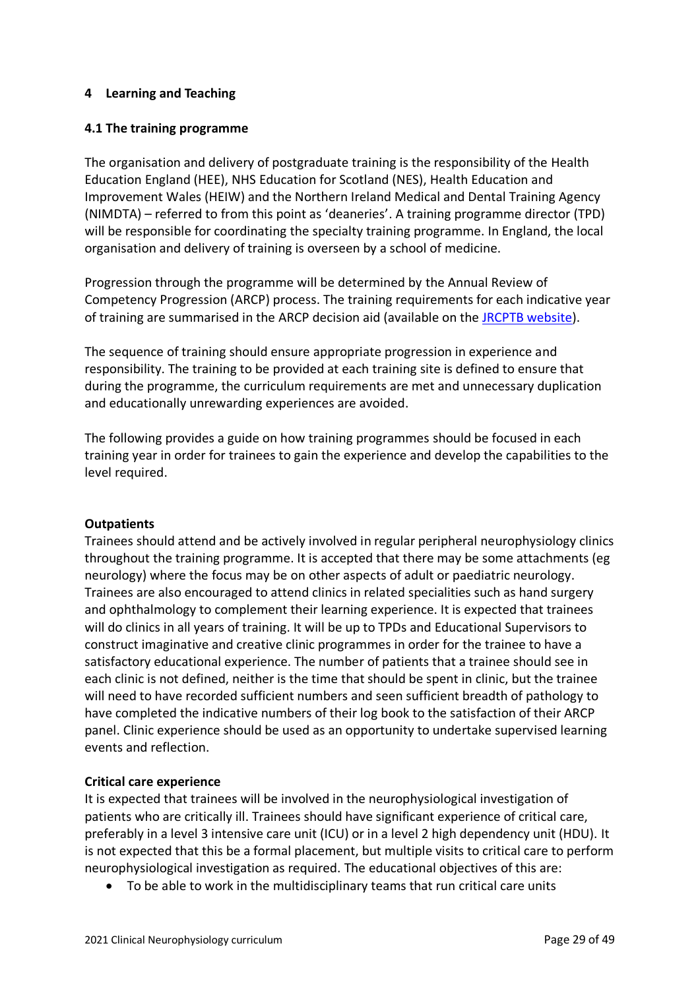## <span id="page-28-0"></span>**4 Learning and Teaching**

## <span id="page-28-1"></span>**4.1 The training programme**

The organisation and delivery of postgraduate training is the responsibility of the Health Education England (HEE), NHS Education for Scotland (NES), Health Education and Improvement Wales (HEIW) and the Northern Ireland Medical and Dental Training Agency (NIMDTA) – referred to from this point as 'deaneries'. A training programme director (TPD) will be responsible for coordinating the specialty training programme. In England, the local organisation and delivery of training is overseen by a school of medicine.

Progression through the programme will be determined by the Annual Review of Competency Progression (ARCP) process. The training requirements for each indicative year of training are summarised in the ARCP decision aid (available on the [JRCPTB website\)](http://www.jrcptb.org.uk/).

The sequence of training should ensure appropriate progression in experience and responsibility. The training to be provided at each training site is defined to ensure that during the programme, the curriculum requirements are met and unnecessary duplication and educationally unrewarding experiences are avoided.

The following provides a guide on how training programmes should be focused in each training year in order for trainees to gain the experience and develop the capabilities to the level required.

## **Outpatients**

Trainees should attend and be actively involved in regular peripheral neurophysiology clinics throughout the training programme. It is accepted that there may be some attachments (eg neurology) where the focus may be on other aspects of adult or paediatric neurology. Trainees are also encouraged to attend clinics in related specialities such as hand surgery and ophthalmology to complement their learning experience. It is expected that trainees will do clinics in all years of training. It will be up to TPDs and Educational Supervisors to construct imaginative and creative clinic programmes in order for the trainee to have a satisfactory educational experience. The number of patients that a trainee should see in each clinic is not defined, neither is the time that should be spent in clinic, but the trainee will need to have recorded sufficient numbers and seen sufficient breadth of pathology to have completed the indicative numbers of their log book to the satisfaction of their ARCP panel. Clinic experience should be used as an opportunity to undertake supervised learning events and reflection.

## **Critical care experience**

It is expected that trainees will be involved in the neurophysiological investigation of patients who are critically ill. Trainees should have significant experience of critical care, preferably in a level 3 intensive care unit (ICU) or in a level 2 high dependency unit (HDU). It is not expected that this be a formal placement, but multiple visits to critical care to perform neurophysiological investigation as required. The educational objectives of this are:

• To be able to work in the multidisciplinary teams that run critical care units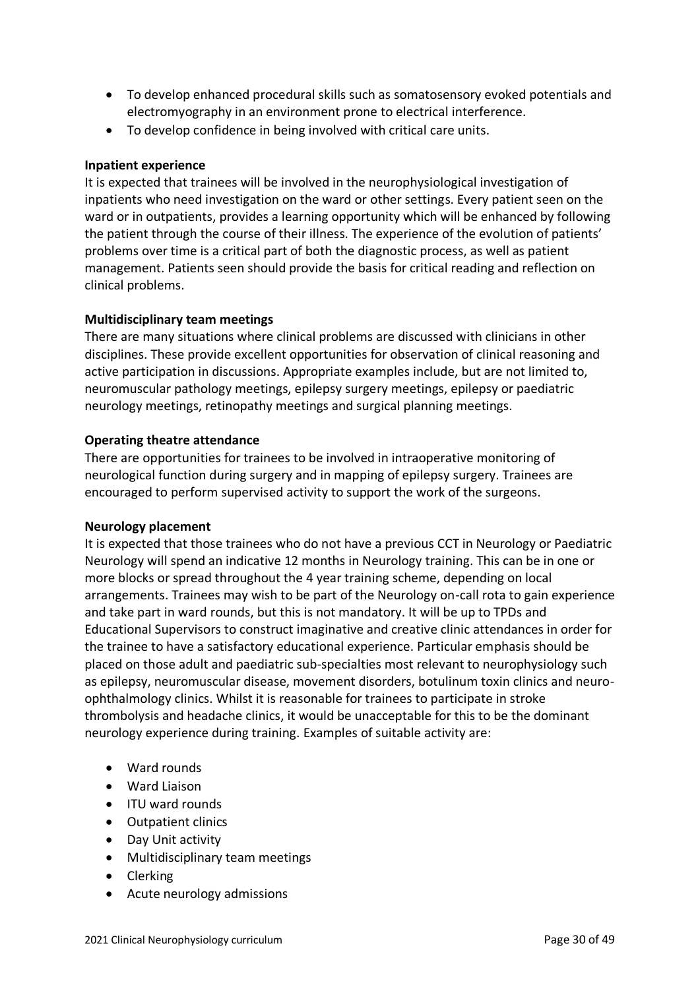- To develop enhanced procedural skills such as somatosensory evoked potentials and electromyography in an environment prone to electrical interference.
- To develop confidence in being involved with critical care units.

## **Inpatient experience**

It is expected that trainees will be involved in the neurophysiological investigation of inpatients who need investigation on the ward or other settings. Every patient seen on the ward or in outpatients, provides a learning opportunity which will be enhanced by following the patient through the course of their illness. The experience of the evolution of patients' problems over time is a critical part of both the diagnostic process, as well as patient management. Patients seen should provide the basis for critical reading and reflection on clinical problems.

## **Multidisciplinary team meetings**

There are many situations where clinical problems are discussed with clinicians in other disciplines. These provide excellent opportunities for observation of clinical reasoning and active participation in discussions. Appropriate examples include, but are not limited to, neuromuscular pathology meetings, epilepsy surgery meetings, epilepsy or paediatric neurology meetings, retinopathy meetings and surgical planning meetings.

#### **Operating theatre attendance**

There are opportunities for trainees to be involved in intraoperative monitoring of neurological function during surgery and in mapping of epilepsy surgery. Trainees are encouraged to perform supervised activity to support the work of the surgeons.

#### **Neurology placement**

It is expected that those trainees who do not have a previous CCT in Neurology or Paediatric Neurology will spend an indicative 12 months in Neurology training. This can be in one or more blocks or spread throughout the 4 year training scheme, depending on local arrangements. Trainees may wish to be part of the Neurology on-call rota to gain experience and take part in ward rounds, but this is not mandatory. It will be up to TPDs and Educational Supervisors to construct imaginative and creative clinic attendances in order for the trainee to have a satisfactory educational experience. Particular emphasis should be placed on those adult and paediatric sub-specialties most relevant to neurophysiology such as epilepsy, neuromuscular disease, movement disorders, botulinum toxin clinics and neuroophthalmology clinics. Whilst it is reasonable for trainees to participate in stroke thrombolysis and headache clinics, it would be unacceptable for this to be the dominant neurology experience during training. Examples of suitable activity are:

- Ward rounds
- Ward Liaison
- ITU ward rounds
- Outpatient clinics
- Day Unit activity
- Multidisciplinary team meetings
- Clerking
- Acute neurology admissions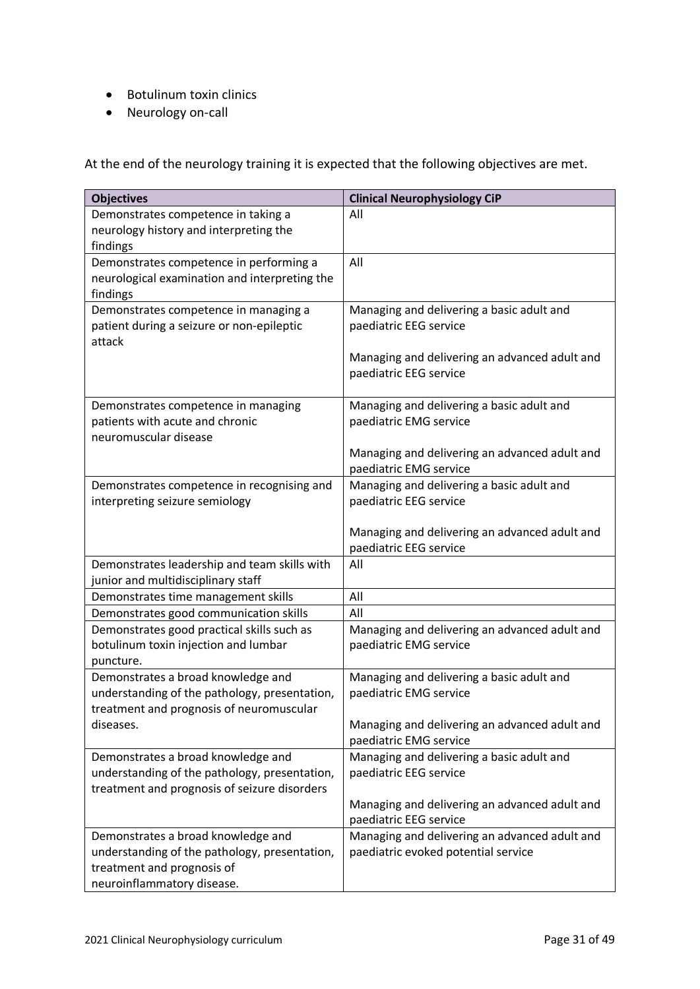- Botulinum toxin clinics
- Neurology on-call

At the end of the neurology training it is expected that the following objectives are met.

| <b>Objectives</b>                                                                   | <b>Clinical Neurophysiology CiP</b>                                                  |
|-------------------------------------------------------------------------------------|--------------------------------------------------------------------------------------|
| Demonstrates competence in taking a                                                 | All                                                                                  |
| neurology history and interpreting the                                              |                                                                                      |
| findings                                                                            |                                                                                      |
| Demonstrates competence in performing a                                             | All                                                                                  |
| neurological examination and interpreting the                                       |                                                                                      |
| findings                                                                            |                                                                                      |
| Demonstrates competence in managing a                                               | Managing and delivering a basic adult and                                            |
| patient during a seizure or non-epileptic                                           | paediatric EEG service                                                               |
| attack                                                                              |                                                                                      |
|                                                                                     | Managing and delivering an advanced adult and<br>paediatric EEG service              |
|                                                                                     |                                                                                      |
| Demonstrates competence in managing                                                 | Managing and delivering a basic adult and                                            |
| patients with acute and chronic                                                     | paediatric EMG service                                                               |
| neuromuscular disease                                                               |                                                                                      |
|                                                                                     | Managing and delivering an advanced adult and                                        |
|                                                                                     | paediatric EMG service                                                               |
| Demonstrates competence in recognising and                                          | Managing and delivering a basic adult and                                            |
| interpreting seizure semiology                                                      | paediatric EEG service                                                               |
|                                                                                     |                                                                                      |
|                                                                                     | Managing and delivering an advanced adult and                                        |
|                                                                                     | paediatric EEG service                                                               |
| Demonstrates leadership and team skills with<br>junior and multidisciplinary staff  | All                                                                                  |
| Demonstrates time management skills                                                 | All                                                                                  |
| Demonstrates good communication skills                                              | All                                                                                  |
| Demonstrates good practical skills such as                                          | Managing and delivering an advanced adult and                                        |
| botulinum toxin injection and lumbar                                                | paediatric EMG service                                                               |
| puncture.                                                                           |                                                                                      |
| Demonstrates a broad knowledge and                                                  | Managing and delivering a basic adult and                                            |
| understanding of the pathology, presentation,                                       | paediatric EMG service                                                               |
| treatment and prognosis of neuromuscular                                            |                                                                                      |
| diseases.                                                                           | Managing and delivering an advanced adult and                                        |
|                                                                                     | paediatric EMG service                                                               |
| Demonstrates a broad knowledge and                                                  | Managing and delivering a basic adult and                                            |
| understanding of the pathology, presentation,                                       | paediatric EEG service                                                               |
| treatment and prognosis of seizure disorders                                        |                                                                                      |
|                                                                                     | Managing and delivering an advanced adult and                                        |
|                                                                                     | paediatric EEG service                                                               |
| Demonstrates a broad knowledge and<br>understanding of the pathology, presentation, | Managing and delivering an advanced adult and<br>paediatric evoked potential service |
| treatment and prognosis of                                                          |                                                                                      |
| neuroinflammatory disease.                                                          |                                                                                      |
|                                                                                     |                                                                                      |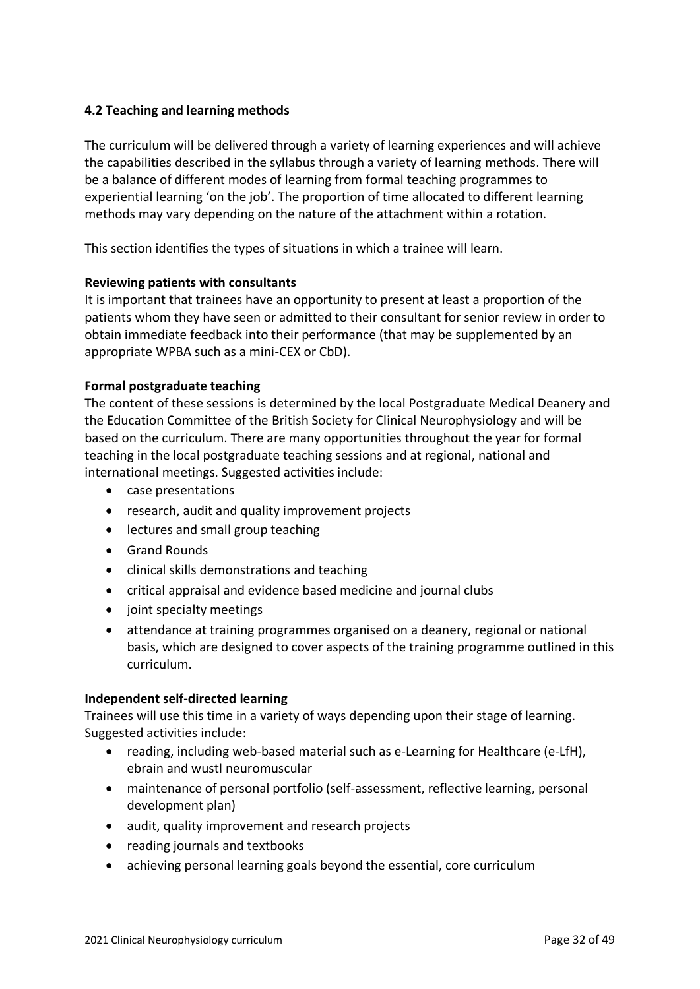# <span id="page-31-0"></span>**4.2 Teaching and learning methods**

The curriculum will be delivered through a variety of learning experiences and will achieve the capabilities described in the syllabus through a variety of learning methods. There will be a balance of different modes of learning from formal teaching programmes to experiential learning 'on the job'. The proportion of time allocated to different learning methods may vary depending on the nature of the attachment within a rotation.

This section identifies the types of situations in which a trainee will learn.

## **Reviewing patients with consultants**

It is important that trainees have an opportunity to present at least a proportion of the patients whom they have seen or admitted to their consultant for senior review in order to obtain immediate feedback into their performance (that may be supplemented by an appropriate WPBA such as a mini-CEX or CbD).

## **Formal postgraduate teaching**

The content of these sessions is determined by the local Postgraduate Medical Deanery and the Education Committee of the British Society for Clinical Neurophysiology and will be based on the curriculum. There are many opportunities throughout the year for formal teaching in the local postgraduate teaching sessions and at regional, national and international meetings. Suggested activities include:

- case presentations
- research, audit and quality improvement projects
- lectures and small group teaching
- Grand Rounds
- clinical skills demonstrations and teaching
- critical appraisal and evidence based medicine and journal clubs
- joint specialty meetings
- attendance at training programmes organised on a deanery, regional or national basis, which are designed to cover aspects of the training programme outlined in this curriculum.

## **Independent self-directed learning**

Trainees will use this time in a variety of ways depending upon their stage of learning. Suggested activities include:

- reading, including web-based material such as e-Learning for Healthcare (e-LfH), ebrain and wustl neuromuscular
- maintenance of personal portfolio (self-assessment, reflective learning, personal development plan)
- audit, quality improvement and research projects
- reading journals and textbooks
- achieving personal learning goals beyond the essential, core curriculum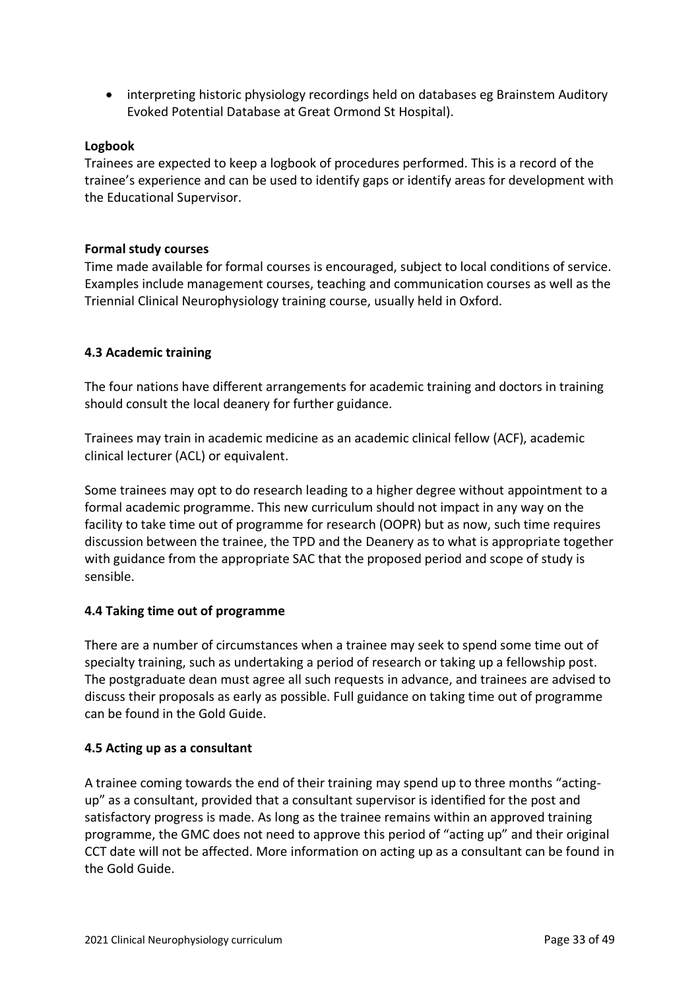• interpreting historic physiology recordings held on databases eg Brainstem Auditory Evoked Potential Database at Great Ormond St Hospital).

## **Logbook**

Trainees are expected to keep a logbook of procedures performed. This is a record of the trainee's experience and can be used to identify gaps or identify areas for development with the Educational Supervisor.

## **Formal study courses**

Time made available for formal courses is encouraged, subject to local conditions of service. Examples include management courses, teaching and communication courses as well as the Triennial Clinical Neurophysiology training course, usually held in Oxford.

## <span id="page-32-0"></span>**4.3 Academic training**

The four nations have different arrangements for academic training and doctors in training should consult the local deanery for further guidance.

Trainees may train in academic medicine as an academic clinical fellow (ACF), academic clinical lecturer (ACL) or equivalent.

Some trainees may opt to do research leading to a higher degree without appointment to a formal academic programme. This new curriculum should not impact in any way on the facility to take time out of programme for research (OOPR) but as now, such time requires discussion between the trainee, the TPD and the Deanery as to what is appropriate together with guidance from the appropriate SAC that the proposed period and scope of study is sensible.

# <span id="page-32-1"></span>**4.4 Taking time out of programme**

There are a number of circumstances when a trainee may seek to spend some time out of specialty training, such as undertaking a period of research or taking up a fellowship post. The postgraduate dean must agree all such requests in advance, and trainees are advised to discuss their proposals as early as possible. Full guidance on taking time out of programme can be found in the Gold Guide.

## <span id="page-32-2"></span>**4.5 Acting up as a consultant**

A trainee coming towards the end of their training may spend up to three months "actingup" as a consultant, provided that a consultant supervisor is identified for the post and satisfactory progress is made. As long as the trainee remains within an approved training programme, the GMC does not need to approve this period of "acting up" and their original CCT date will not be affected. More information on acting up as a consultant can be found in the Gold Guide.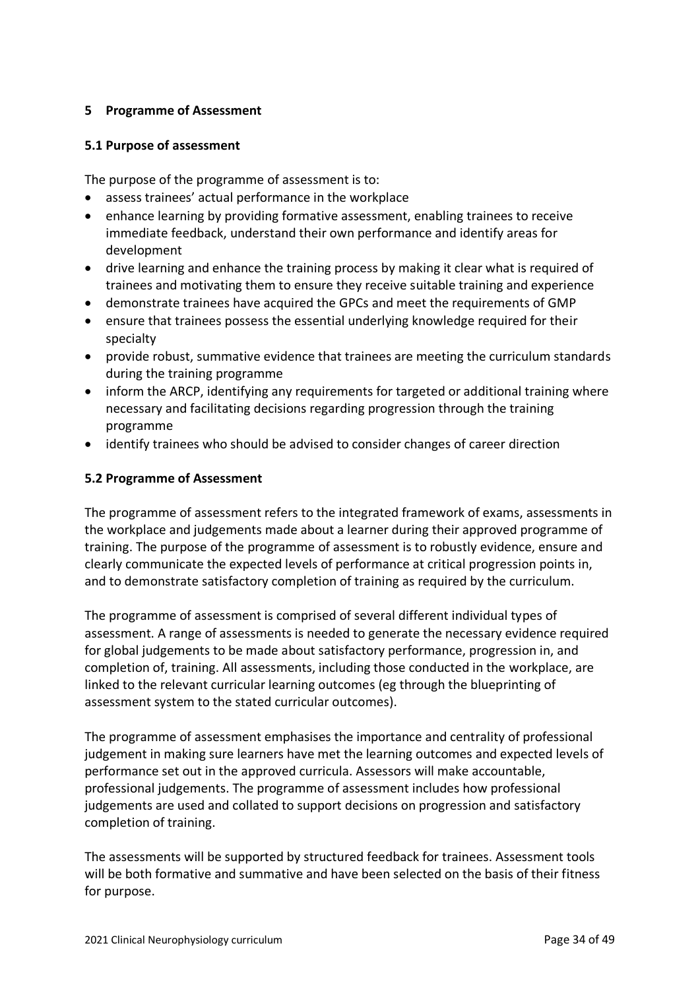# <span id="page-33-0"></span>**5 Programme of Assessment**

## <span id="page-33-1"></span>**5.1 Purpose of assessment**

The purpose of the programme of assessment is to:

- assess trainees' actual performance in the workplace
- enhance learning by providing formative assessment, enabling trainees to receive immediate feedback, understand their own performance and identify areas for development
- drive learning and enhance the training process by making it clear what is required of trainees and motivating them to ensure they receive suitable training and experience
- demonstrate trainees have acquired the GPCs and meet the requirements of GMP
- ensure that trainees possess the essential underlying knowledge required for their specialty
- provide robust, summative evidence that trainees are meeting the curriculum standards during the training programme
- inform the ARCP, identifying any requirements for targeted or additional training where necessary and facilitating decisions regarding progression through the training programme
- identify trainees who should be advised to consider changes of career direction

## <span id="page-33-2"></span>**5.2 Programme of Assessment**

The programme of assessment refers to the integrated framework of exams, assessments in the workplace and judgements made about a learner during their approved programme of training. The purpose of the programme of assessment is to robustly evidence, ensure and clearly communicate the expected levels of performance at critical progression points in, and to demonstrate satisfactory completion of training as required by the curriculum.

The programme of assessment is comprised of several different individual types of assessment. A range of assessments is needed to generate the necessary evidence required for global judgements to be made about satisfactory performance, progression in, and completion of, training. All assessments, including those conducted in the workplace, are linked to the relevant curricular learning outcomes (eg through the blueprinting of assessment system to the stated curricular outcomes).

The programme of assessment emphasises the importance and centrality of professional judgement in making sure learners have met the learning outcomes and expected levels of performance set out in the approved curricula. Assessors will make accountable, professional judgements. The programme of assessment includes how professional judgements are used and collated to support decisions on progression and satisfactory completion of training.

The assessments will be supported by structured feedback for trainees. Assessment tools will be both formative and summative and have been selected on the basis of their fitness for purpose.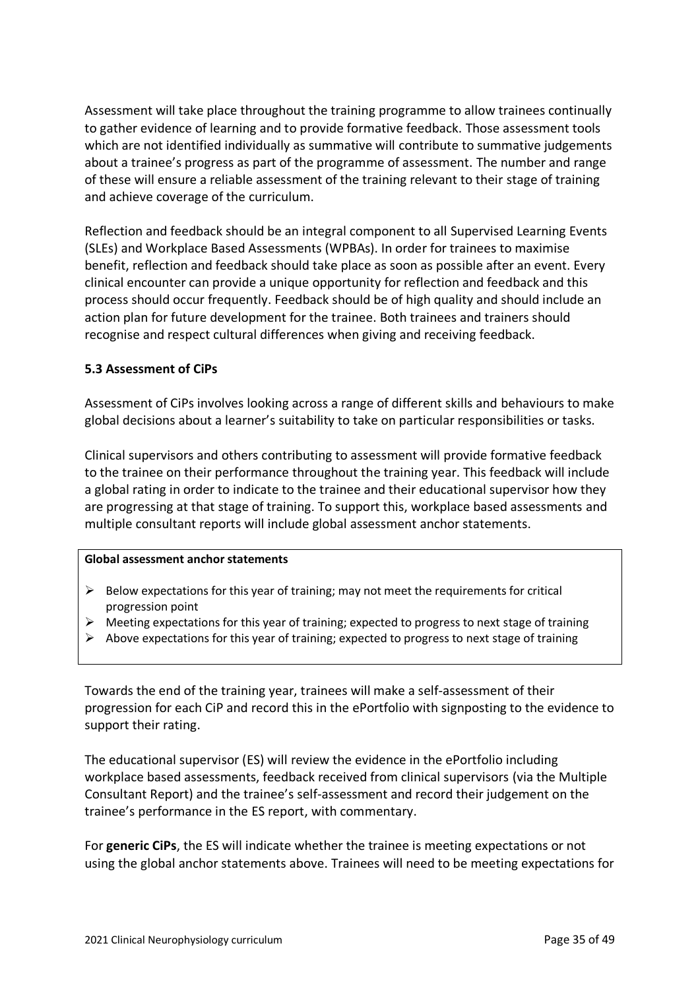Assessment will take place throughout the training programme to allow trainees continually to gather evidence of learning and to provide formative feedback. Those assessment tools which are not identified individually as summative will contribute to summative judgements about a trainee's progress as part of the programme of assessment. The number and range of these will ensure a reliable assessment of the training relevant to their stage of training and achieve coverage of the curriculum.

Reflection and feedback should be an integral component to all Supervised Learning Events (SLEs) and Workplace Based Assessments (WPBAs). In order for trainees to maximise benefit, reflection and feedback should take place as soon as possible after an event. Every clinical encounter can provide a unique opportunity for reflection and feedback and this process should occur frequently. Feedback should be of high quality and should include an action plan for future development for the trainee. Both trainees and trainers should recognise and respect cultural differences when giving and receiving feedback.

## <span id="page-34-0"></span>**5.3 Assessment of CiPs**

Assessment of CiPs involves looking across a range of different skills and behaviours to make global decisions about a learner's suitability to take on particular responsibilities or tasks.

Clinical supervisors and others contributing to assessment will provide formative feedback to the trainee on their performance throughout the training year. This feedback will include a global rating in order to indicate to the trainee and their educational supervisor how they are progressing at that stage of training. To support this, workplace based assessments and multiple consultant reports will include global assessment anchor statements.

#### **Global assessment anchor statements**

- $\triangleright$  Below expectations for this year of training; may not meet the requirements for critical progression point
- $\triangleright$  Meeting expectations for this year of training; expected to progress to next stage of training
- ➢ Above expectations for this year of training; expected to progress to next stage of training

Towards the end of the training year, trainees will make a self-assessment of their progression for each CiP and record this in the ePortfolio with signposting to the evidence to support their rating.

The educational supervisor (ES) will review the evidence in the ePortfolio including workplace based assessments, feedback received from clinical supervisors (via the Multiple Consultant Report) and the trainee's self-assessment and record their judgement on the trainee's performance in the ES report, with commentary.

For **generic CiPs**, the ES will indicate whether the trainee is meeting expectations or not using the global anchor statements above. Trainees will need to be meeting expectations for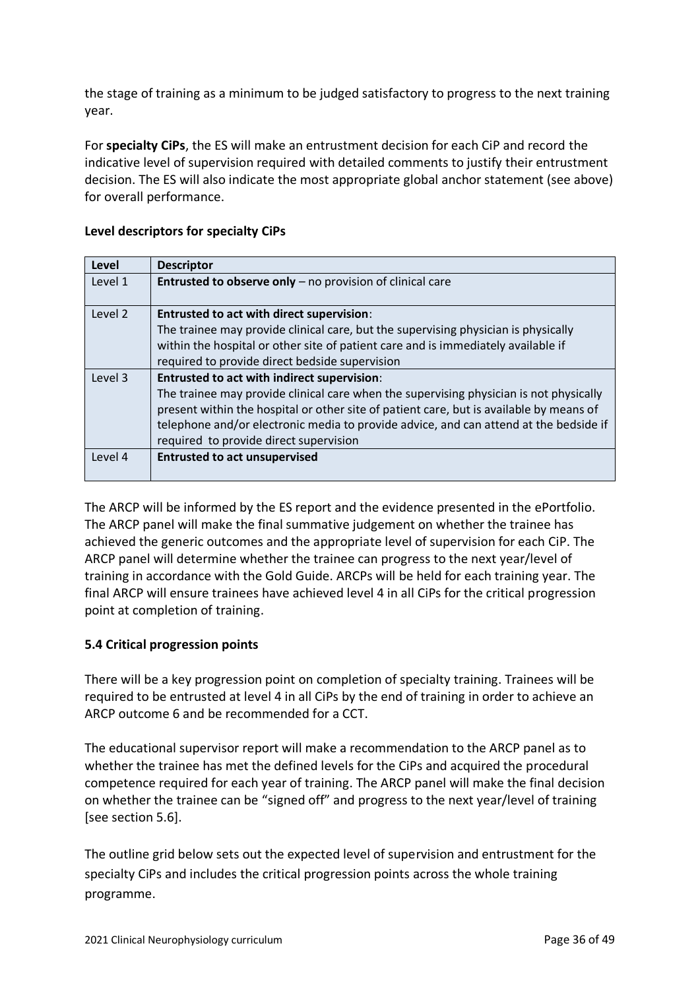the stage of training as a minimum to be judged satisfactory to progress to the next training year.

For **specialty CiPs**, the ES will make an entrustment decision for each CiP and record the indicative level of supervision required with detailed comments to justify their entrustment decision. The ES will also indicate the most appropriate global anchor statement (see above) for overall performance.

| Level   | <b>Descriptor</b>                                                                       |
|---------|-----------------------------------------------------------------------------------------|
| Level 1 | <b>Entrusted to observe only</b> $-$ no provision of clinical care                      |
| Level 2 | <b>Entrusted to act with direct supervision:</b>                                        |
|         | The trainee may provide clinical care, but the supervising physician is physically      |
|         | within the hospital or other site of patient care and is immediately available if       |
|         | required to provide direct bedside supervision                                          |
| Level 3 | <b>Entrusted to act with indirect supervision:</b>                                      |
|         | The trainee may provide clinical care when the supervising physician is not physically  |
|         | present within the hospital or other site of patient care, but is available by means of |
|         | telephone and/or electronic media to provide advice, and can attend at the bedside if   |
|         | required to provide direct supervision                                                  |
| Level 4 | <b>Entrusted to act unsupervised</b>                                                    |
|         |                                                                                         |

## **Level descriptors for specialty CiPs**

The ARCP will be informed by the ES report and the evidence presented in the ePortfolio. The ARCP panel will make the final summative judgement on whether the trainee has achieved the generic outcomes and the appropriate level of supervision for each CiP. The ARCP panel will determine whether the trainee can progress to the next year/level of training in accordance with the Gold Guide. ARCPs will be held for each training year. The final ARCP will ensure trainees have achieved level 4 in all CiPs for the critical progression point at completion of training.

# <span id="page-35-0"></span>**5.4 Critical progression points**

There will be a key progression point on completion of specialty training. Trainees will be required to be entrusted at level 4 in all CiPs by the end of training in order to achieve an ARCP outcome 6 and be recommended for a CCT.

The educational supervisor report will make a recommendation to the ARCP panel as to whether the trainee has met the defined levels for the CiPs and acquired the procedural competence required for each year of training. The ARCP panel will make the final decision on whether the trainee can be "signed off" and progress to the next year/level of training [see section 5.6].

The outline grid below sets out the expected level of supervision and entrustment for the specialty CiPs and includes the critical progression points across the whole training programme.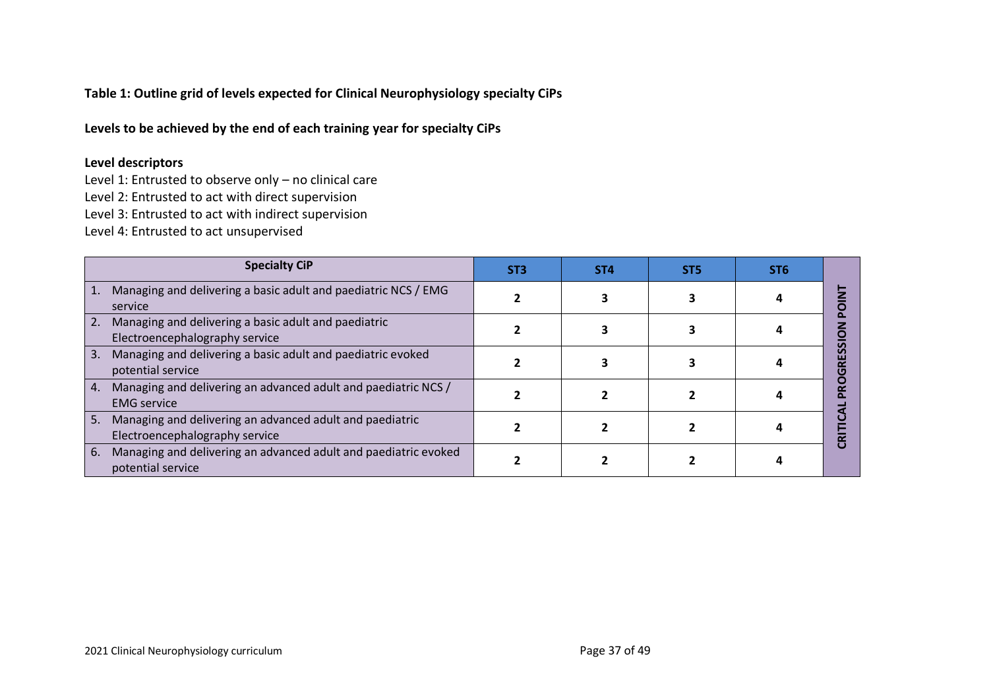**Table 1: Outline grid of levels expected for Clinical Neurophysiology specialty CiPs**

**Levels to be achieved by the end of each training year for specialty CiPs** 

## **Level descriptors**

Level 1: Entrusted to observe only – no clinical care Level 2: Entrusted to act with direct supervision Level 3: Entrusted to act with indirect supervision

Level 4: Entrusted to act unsupervised

| <b>Specialty CiP</b>                                                                             | ST <sub>3</sub> | ST <sub>4</sub> | ST <sub>5</sub> | ST <sub>6</sub> |  |
|--------------------------------------------------------------------------------------------------|-----------------|-----------------|-----------------|-----------------|--|
| Managing and delivering a basic adult and paediatric NCS / EMG<br>service                        |                 |                 |                 |                 |  |
| Managing and delivering a basic adult and paediatric<br>2.<br>Electroencephalography service     |                 |                 |                 |                 |  |
| Managing and delivering a basic adult and paediatric evoked<br>3.<br>potential service           |                 |                 |                 |                 |  |
| Managing and delivering an advanced adult and paediatric NCS /<br>4.<br><b>EMG</b> service       |                 |                 |                 |                 |  |
| Managing and delivering an advanced adult and paediatric<br>5.<br>Electroencephalography service |                 |                 |                 |                 |  |
| Managing and delivering an advanced adult and paediatric evoked<br>6.<br>potential service       |                 |                 |                 |                 |  |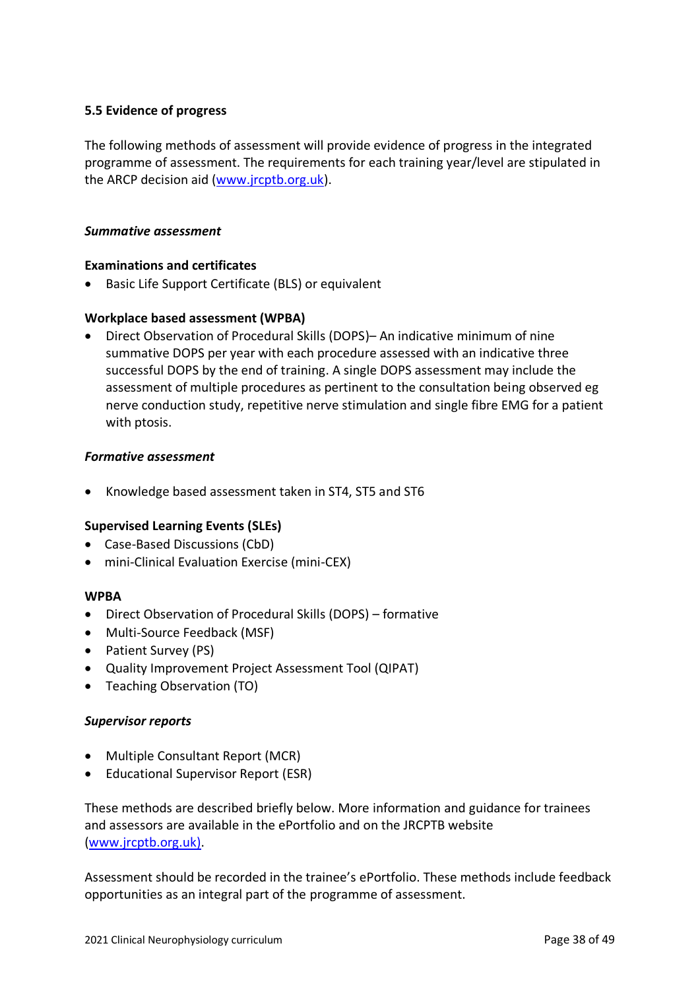## <span id="page-37-0"></span>**5.5 Evidence of progress**

The following methods of assessment will provide evidence of progress in the integrated programme of assessment. The requirements for each training year/level are stipulated in the ARCP decision aid [\(www.jrcptb.org.uk\)](http://www.jrcptb.org.uk/).

#### *Summative assessment*

#### **Examinations and certificates**

• Basic Life Support Certificate (BLS) or equivalent

## **Workplace based assessment (WPBA)**

• Direct Observation of Procedural Skills (DOPS)– An indicative minimum of nine summative DOPS per year with each procedure assessed with an indicative three successful DOPS by the end of training. A single DOPS assessment may include the assessment of multiple procedures as pertinent to the consultation being observed eg nerve conduction study, repetitive nerve stimulation and single fibre EMG for a patient with ptosis.

#### *Formative assessment*

• Knowledge based assessment taken in ST4, ST5 and ST6

## **Supervised Learning Events (SLEs)**

- Case-Based Discussions (CbD)
- mini-Clinical Evaluation Exercise (mini-CEX)

#### **WPBA**

- Direct Observation of Procedural Skills (DOPS) formative
- Multi-Source Feedback (MSF)
- Patient Survey (PS)
- Quality Improvement Project Assessment Tool (QIPAT)
- Teaching Observation (TO)

#### *Supervisor reports*

- Multiple Consultant Report (MCR)
- Educational Supervisor Report (ESR)

These methods are described briefly below. More information and guidance for trainees and assessors are available in the ePortfolio and on the JRCPTB website [\(www.jrcptb.org.uk\)](http://www.jrcptb.org.uk/).

Assessment should be recorded in the trainee's ePortfolio. These methods include feedback opportunities as an integral part of the programme of assessment.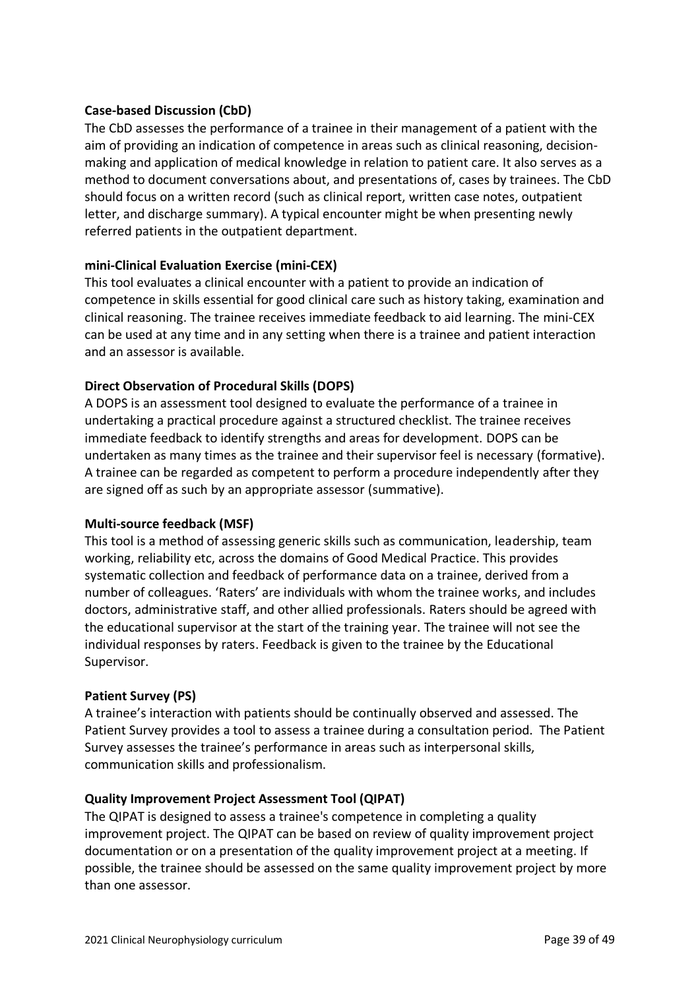## **Case-based Discussion (CbD)**

The CbD assesses the performance of a trainee in their management of a patient with the aim of providing an indication of competence in areas such as clinical reasoning, decisionmaking and application of medical knowledge in relation to patient care. It also serves as a method to document conversations about, and presentations of, cases by trainees. The CbD should focus on a written record (such as clinical report, written case notes, outpatient letter, and discharge summary). A typical encounter might be when presenting newly referred patients in the outpatient department.

## **mini-Clinical Evaluation Exercise (mini-CEX)**

This tool evaluates a clinical encounter with a patient to provide an indication of competence in skills essential for good clinical care such as history taking, examination and clinical reasoning. The trainee receives immediate feedback to aid learning. The mini-CEX can be used at any time and in any setting when there is a trainee and patient interaction and an assessor is available.

## **Direct Observation of Procedural Skills (DOPS)**

A DOPS is an assessment tool designed to evaluate the performance of a trainee in undertaking a practical procedure against a structured checklist. The trainee receives immediate feedback to identify strengths and areas for development. DOPS can be undertaken as many times as the trainee and their supervisor feel is necessary (formative). A trainee can be regarded as competent to perform a procedure independently after they are signed off as such by an appropriate assessor (summative).

## **Multi-source feedback (MSF)**

This tool is a method of assessing generic skills such as communication, leadership, team working, reliability etc, across the domains of Good Medical Practice. This provides systematic collection and feedback of performance data on a trainee, derived from a number of colleagues. 'Raters' are individuals with whom the trainee works, and includes doctors, administrative staff, and other allied professionals. Raters should be agreed with the educational supervisor at the start of the training year. The trainee will not see the individual responses by raters. Feedback is given to the trainee by the Educational Supervisor.

## **Patient Survey (PS)**

A trainee's interaction with patients should be continually observed and assessed. The Patient Survey provides a tool to assess a trainee during a consultation period. The Patient Survey assesses the trainee's performance in areas such as interpersonal skills, communication skills and professionalism.

## **Quality Improvement Project Assessment Tool (QIPAT)**

The QIPAT is designed to assess a trainee's competence in completing a quality improvement project. The QIPAT can be based on review of quality improvement project documentation or on a presentation of the quality improvement project at a meeting. If possible, the trainee should be assessed on the same quality improvement project by more than one assessor.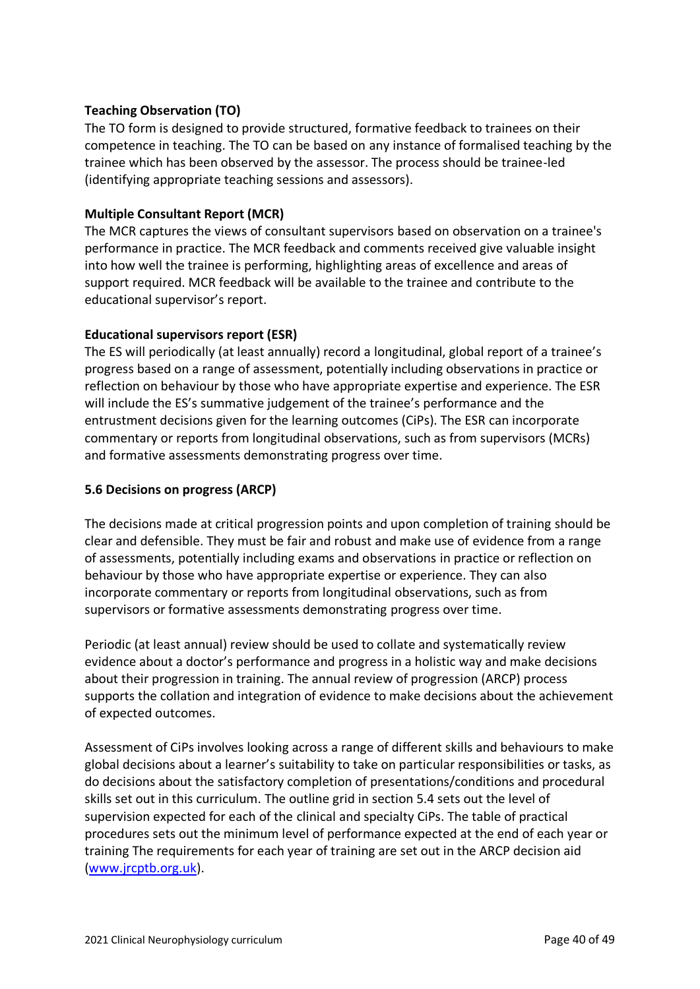## **Teaching Observation (TO)**

The TO form is designed to provide structured, formative feedback to trainees on their competence in teaching. The TO can be based on any instance of formalised teaching by the trainee which has been observed by the assessor. The process should be trainee-led (identifying appropriate teaching sessions and assessors).

## **Multiple Consultant Report (MCR)**

The MCR captures the views of consultant supervisors based on observation on a trainee's performance in practice. The MCR feedback and comments received give valuable insight into how well the trainee is performing, highlighting areas of excellence and areas of support required. MCR feedback will be available to the trainee and contribute to the educational supervisor's report.

## **Educational supervisors report (ESR)**

The ES will periodically (at least annually) record a longitudinal, global report of a trainee's progress based on a range of assessment, potentially including observations in practice or reflection on behaviour by those who have appropriate expertise and experience. The ESR will include the ES's summative judgement of the trainee's performance and the entrustment decisions given for the learning outcomes (CiPs). The ESR can incorporate commentary or reports from longitudinal observations, such as from supervisors (MCRs) and formative assessments demonstrating progress over time.

## <span id="page-39-0"></span>**5.6 Decisions on progress (ARCP)**

The decisions made at critical progression points and upon completion of training should be clear and defensible. They must be fair and robust and make use of evidence from a range of assessments, potentially including exams and observations in practice or reflection on behaviour by those who have appropriate expertise or experience. They can also incorporate commentary or reports from longitudinal observations, such as from supervisors or formative assessments demonstrating progress over time.

Periodic (at least annual) review should be used to collate and systematically review evidence about a doctor's performance and progress in a holistic way and make decisions about their progression in training. The annual review of progression (ARCP) process supports the collation and integration of evidence to make decisions about the achievement of expected outcomes.

Assessment of CiPs involves looking across a range of different skills and behaviours to make global decisions about a learner's suitability to take on particular responsibilities or tasks, as do decisions about the satisfactory completion of presentations/conditions and procedural skills set out in this curriculum. The outline grid in section 5.4 sets out the level of supervision expected for each of the clinical and specialty CiPs. The table of practical procedures sets out the minimum level of performance expected at the end of each year or training The requirements for each year of training are set out in the ARCP decision aid [\(www.jrcptb.org.uk\)](http://www.jrcptb.org.uk/).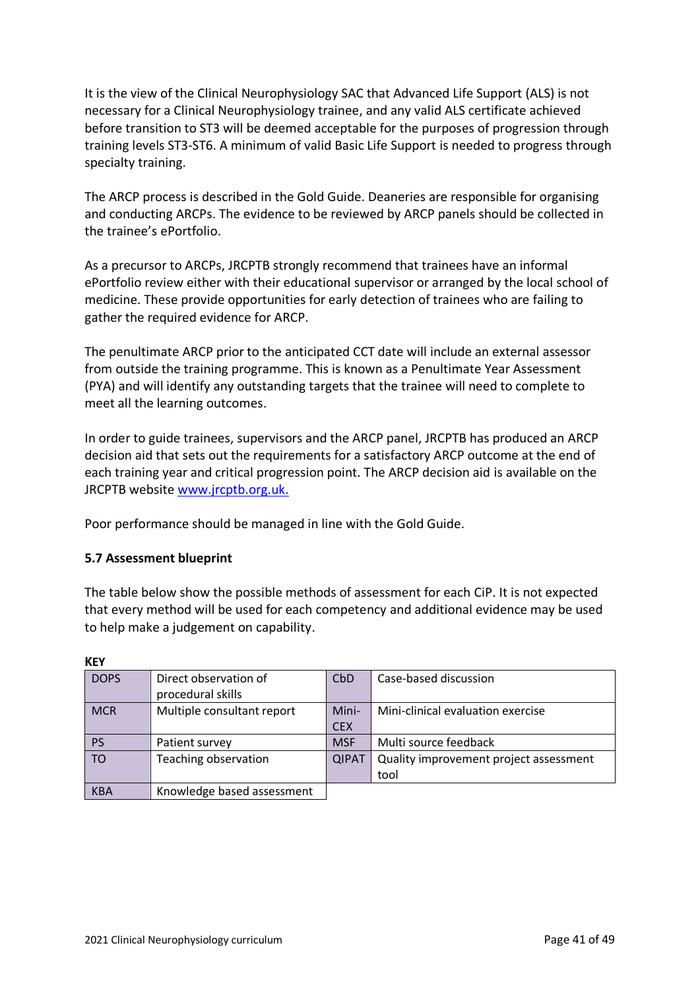It is the view of the Clinical Neurophysiology SAC that Advanced Life Support (ALS) is not necessary for a Clinical Neurophysiology trainee, and any valid ALS certificate achieved before transition to ST3 will be deemed acceptable for the purposes of progression through training levels ST3-ST6. A minimum of valid Basic Life Support is needed to progress through specialty training.

The ARCP process is described in the Gold Guide. Deaneries are responsible for organising and conducting ARCPs. The evidence to be reviewed by ARCP panels should be collected in the trainee's ePortfolio.

As a precursor to ARCPs, JRCPTB strongly recommend that trainees have an informal ePortfolio review either with their educational supervisor or arranged by the local school of medicine. These provide opportunities for early detection of trainees who are failing to gather the required evidence for ARCP.

The penultimate ARCP prior to the anticipated CCT date will include an external assessor from outside the training programme. This is known as a Penultimate Year Assessment (PYA) and will identify any outstanding targets that the trainee will need to complete to meet all the learning outcomes.

In order to guide trainees, supervisors and the ARCP panel, JRCPTB has produced an ARCP decision aid that sets out the requirements for a satisfactory ARCP outcome at the end of each training year and critical progression point. The ARCP decision aid is available on the JRCPTB website [www.jrcptb.org.uk.](http://www.jrcptb.org.uk/)

Poor performance should be managed in line with the Gold Guide.

## <span id="page-40-0"></span>**5.7 Assessment blueprint**

The table below show the possible methods of assessment for each CiP. It is not expected that every method will be used for each competency and additional evidence may be used to help make a judgement on capability.

| <b>DOPS</b> | Direct observation of<br>procedural skills | CbD          | Case-based discussion                  |
|-------------|--------------------------------------------|--------------|----------------------------------------|
| <b>MCR</b>  | Multiple consultant report                 | Mini-        | Mini-clinical evaluation exercise      |
|             |                                            | <b>CEX</b>   |                                        |
| <b>PS</b>   | Patient survey                             | <b>MSF</b>   | Multi source feedback                  |
| <b>TO</b>   | Teaching observation                       | <b>QIPAT</b> | Quality improvement project assessment |
|             |                                            |              | tool                                   |
| <b>KBA</b>  | Knowledge based assessment                 |              |                                        |

**KEY**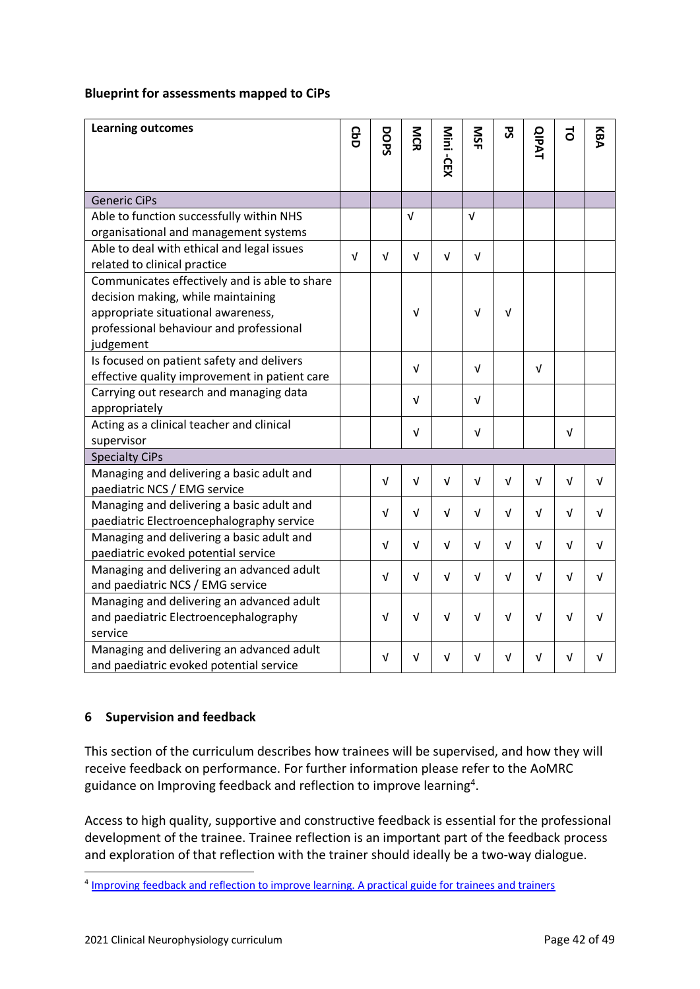### **Blueprint for assessments mapped to CiPs**

| <b>Learning outcomes</b>                      | င္ပ<br>၁   | DOPS       | <b>NGR</b> | Mini -CEX  | <b>NSF</b> | 59         | <b>QIPAT</b> | 5          | KBA        |
|-----------------------------------------------|------------|------------|------------|------------|------------|------------|--------------|------------|------------|
|                                               |            |            |            |            |            |            |              |            |            |
| <b>Generic CiPs</b>                           |            |            |            |            |            |            |              |            |            |
| Able to function successfully within NHS      |            |            | $\sqrt{ }$ |            | $\sqrt{ }$ |            |              |            |            |
| organisational and management systems         |            |            |            |            |            |            |              |            |            |
| Able to deal with ethical and legal issues    | $\sqrt{ }$ | V          | V          | $\sqrt{ }$ | $\sqrt{ }$ |            |              |            |            |
| related to clinical practice                  |            |            |            |            |            |            |              |            |            |
| Communicates effectively and is able to share |            |            |            |            |            |            |              |            |            |
| decision making, while maintaining            |            |            |            |            |            |            |              |            |            |
| appropriate situational awareness,            |            |            | V          |            | $\sqrt{ }$ | $\sqrt{ }$ |              |            |            |
| professional behaviour and professional       |            |            |            |            |            |            |              |            |            |
| judgement                                     |            |            |            |            |            |            |              |            |            |
| Is focused on patient safety and delivers     |            |            | $\sqrt{ }$ |            | $\sqrt{ }$ |            | $\sqrt{ }$   |            |            |
| effective quality improvement in patient care |            |            |            |            |            |            |              |            |            |
| Carrying out research and managing data       |            |            | $\sqrt{ }$ |            | $\sqrt{ }$ |            |              |            |            |
| appropriately                                 |            |            |            |            |            |            |              |            |            |
| Acting as a clinical teacher and clinical     |            |            | v          |            | V          |            |              | v          |            |
| supervisor                                    |            |            |            |            |            |            |              |            |            |
| <b>Specialty CiPs</b>                         |            |            |            |            |            |            |              |            |            |
| Managing and delivering a basic adult and     |            | $\sqrt{ }$ | v          | V          | $\sqrt{ }$ | V          | v            | $\sqrt{ }$ | $\sqrt{ }$ |
| paediatric NCS / EMG service                  |            |            |            |            |            |            |              |            |            |
| Managing and delivering a basic adult and     |            | $\sqrt{ }$ | v          | V          | $\sqrt{ }$ | V          | $\sqrt{ }$   | v          | v          |
| paediatric Electroencephalography service     |            |            |            |            |            |            |              |            |            |
| Managing and delivering a basic adult and     |            | V          | v          | v          | $\sqrt{ }$ | $\sqrt{ }$ | $\sqrt{ }$   | $\sqrt{ }$ | $\sqrt{ }$ |
| paediatric evoked potential service           |            |            |            |            |            |            |              |            |            |
| Managing and delivering an advanced adult     |            | $\sqrt{ }$ | $\sqrt{ }$ | $\sqrt{ }$ | $\sqrt{ }$ | $\sqrt{ }$ | $\sqrt{ }$   | v          | $\sqrt{ }$ |
| and paediatric NCS / EMG service              |            |            |            |            |            |            |              |            |            |
| Managing and delivering an advanced adult     |            |            |            |            |            |            |              |            |            |
| and paediatric Electroencephalography         |            | V          | V          | v          | $\sqrt{ }$ | V          | V            | V          | v          |
| service                                       |            |            |            |            |            |            |              |            |            |
| Managing and delivering an advanced adult     |            | V          | V          | V          | v          | V          | v            | V          | v          |
| and paediatric evoked potential service       |            |            |            |            |            |            |              |            |            |

## <span id="page-41-0"></span>**6 Supervision and feedback**

This section of the curriculum describes how trainees will be supervised, and how they will receive feedback on performance. For further information please refer to the AoMRC guidance on Improving feedback and reflection to improve learning<sup>4</sup>.

Access to high quality, supportive and constructive feedback is essential for the professional development of the trainee. Trainee reflection is an important part of the feedback process and exploration of that reflection with the trainer should ideally be a two-way dialogue.

<sup>&</sup>lt;sup>4</sup> [Improving feedback and reflection to improve learning. A practical guide for trainees and trainers](http://www.aomrc.org.uk/publications/reports-guidance/improving-feedback-reflection-improve-learning-practical-guide-trainees-trainers/)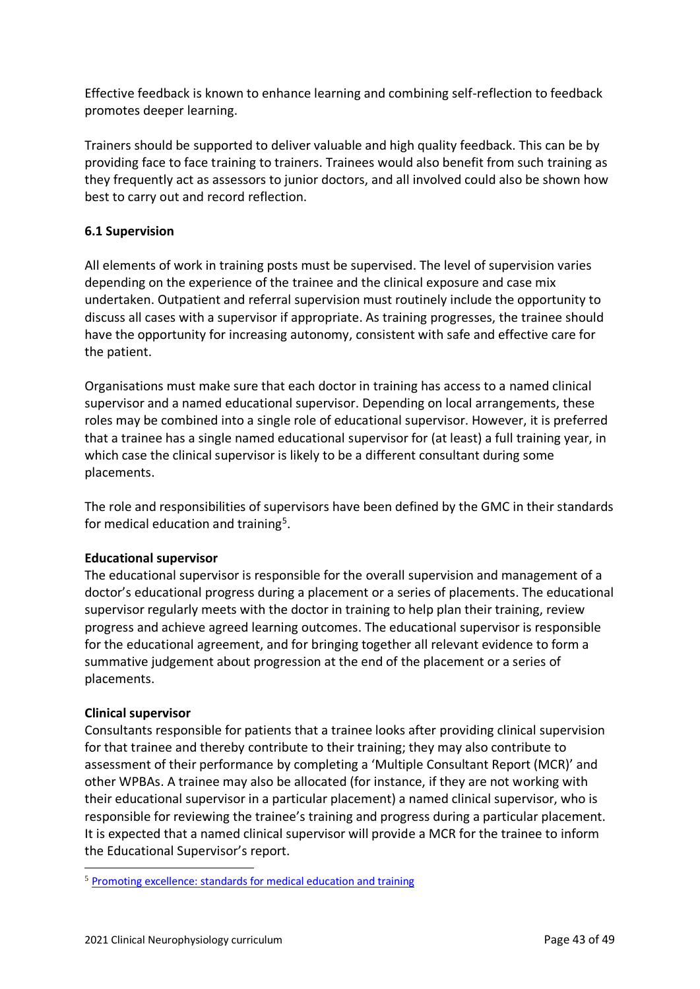Effective feedback is known to enhance learning and combining self-reflection to feedback promotes deeper learning.

Trainers should be supported to deliver valuable and high quality feedback. This can be by providing face to face training to trainers. Trainees would also benefit from such training as they frequently act as assessors to junior doctors, and all involved could also be shown how best to carry out and record reflection.

# <span id="page-42-0"></span>**6.1 Supervision**

All elements of work in training posts must be supervised. The level of supervision varies depending on the experience of the trainee and the clinical exposure and case mix undertaken. Outpatient and referral supervision must routinely include the opportunity to discuss all cases with a supervisor if appropriate. As training progresses, the trainee should have the opportunity for increasing autonomy, consistent with safe and effective care for the patient.

Organisations must make sure that each doctor in training has access to a named clinical supervisor and a named educational supervisor. Depending on local arrangements, these roles may be combined into a single role of educational supervisor. However, it is preferred that a trainee has a single named educational supervisor for (at least) a full training year, in which case the clinical supervisor is likely to be a different consultant during some placements.

The role and responsibilities of supervisors have been defined by the GMC in their standards for medical education and training<sup>5</sup>.

## **Educational supervisor**

The educational supervisor is responsible for the overall supervision and management of a doctor's educational progress during a placement or a series of placements. The educational supervisor regularly meets with the doctor in training to help plan their training, review progress and achieve agreed learning outcomes. The educational supervisor is responsible for the educational agreement, and for bringing together all relevant evidence to form a summative judgement about progression at the end of the placement or a series of placements.

## **Clinical supervisor**

Consultants responsible for patients that a trainee looks after providing clinical supervision for that trainee and thereby contribute to their training; they may also contribute to assessment of their performance by completing a 'Multiple Consultant Report (MCR)' and other WPBAs. A trainee may also be allocated (for instance, if they are not working with their educational supervisor in a particular placement) a named clinical supervisor, who is responsible for reviewing the trainee's training and progress during a particular placement. It is expected that a named clinical supervisor will provide a MCR for the trainee to inform the Educational Supervisor's report.

<sup>5</sup> [Promoting excellence: standards for medical education and training](http://www.gmc-uk.org/education/standards.asp)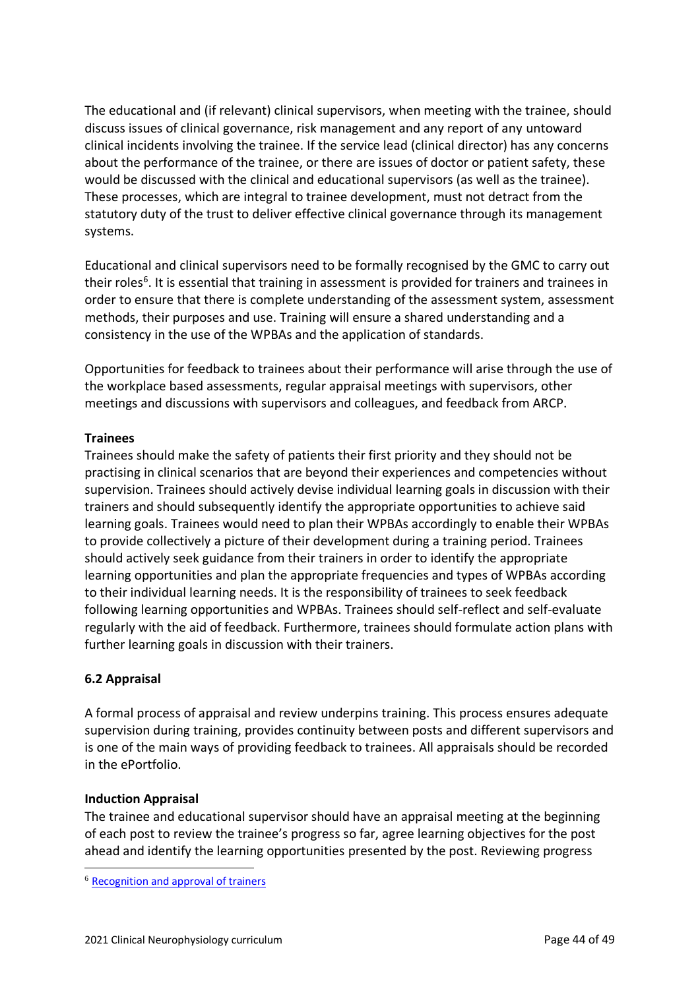The educational and (if relevant) clinical supervisors, when meeting with the trainee, should discuss issues of clinical governance, risk management and any report of any untoward clinical incidents involving the trainee. If the service lead (clinical director) has any concerns about the performance of the trainee, or there are issues of doctor or patient safety, these would be discussed with the clinical and educational supervisors (as well as the trainee). These processes, which are integral to trainee development, must not detract from the statutory duty of the trust to deliver effective clinical governance through its management systems.

Educational and clinical supervisors need to be formally recognised by the GMC to carry out their roles<sup>6</sup>. It is essential that training in assessment is provided for trainers and trainees in order to ensure that there is complete understanding of the assessment system, assessment methods, their purposes and use. Training will ensure a shared understanding and a consistency in the use of the WPBAs and the application of standards.

Opportunities for feedback to trainees about their performance will arise through the use of the workplace based assessments, regular appraisal meetings with supervisors, other meetings and discussions with supervisors and colleagues, and feedback from ARCP.

## **Trainees**

Trainees should make the safety of patients their first priority and they should not be practising in clinical scenarios that are beyond their experiences and competencies without supervision. Trainees should actively devise individual learning goals in discussion with their trainers and should subsequently identify the appropriate opportunities to achieve said learning goals. Trainees would need to plan their WPBAs accordingly to enable their WPBAs to provide collectively a picture of their development during a training period. Trainees should actively seek guidance from their trainers in order to identify the appropriate learning opportunities and plan the appropriate frequencies and types of WPBAs according to their individual learning needs. It is the responsibility of trainees to seek feedback following learning opportunities and WPBAs. Trainees should self-reflect and self-evaluate regularly with the aid of feedback. Furthermore, trainees should formulate action plans with further learning goals in discussion with their trainers.

# <span id="page-43-0"></span>**6.2 Appraisal**

A formal process of appraisal and review underpins training. This process ensures adequate supervision during training, provides continuity between posts and different supervisors and is one of the main ways of providing feedback to trainees. All appraisals should be recorded in the ePortfolio.

# **Induction Appraisal**

The trainee and educational supervisor should have an appraisal meeting at the beginning of each post to review the trainee's progress so far, agree learning objectives for the post ahead and identify the learning opportunities presented by the post. Reviewing progress

<sup>6</sup> [Recognition and approval of trainers](http://www.gmc-uk.org/education/10264.asp)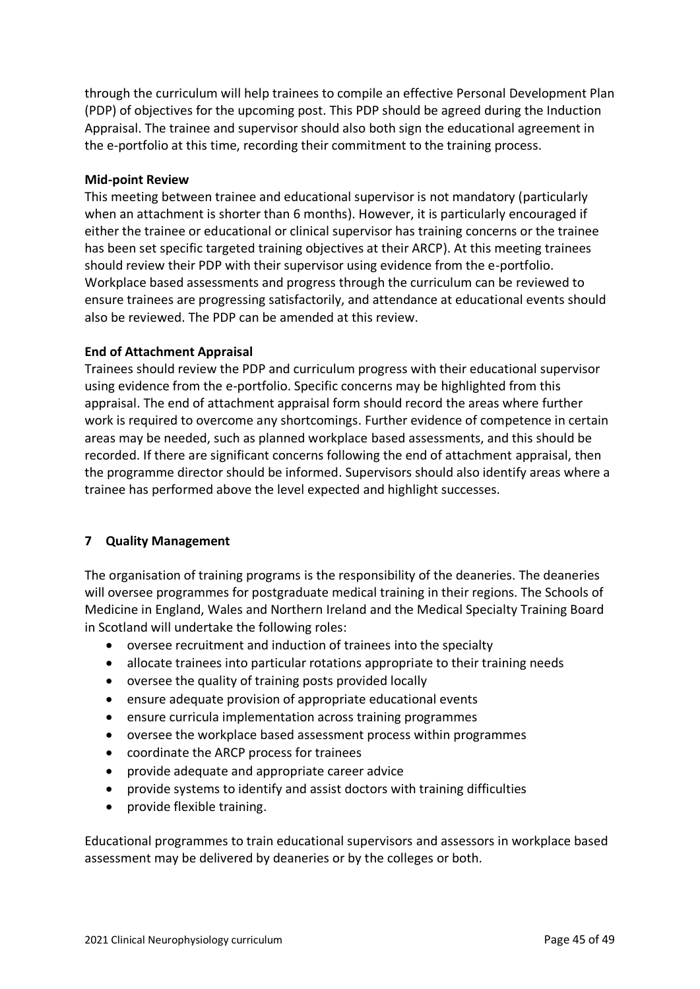through the curriculum will help trainees to compile an effective Personal Development Plan (PDP) of objectives for the upcoming post. This PDP should be agreed during the Induction Appraisal. The trainee and supervisor should also both sign the educational agreement in the e-portfolio at this time, recording their commitment to the training process.

### **Mid-point Review**

This meeting between trainee and educational supervisor is not mandatory (particularly when an attachment is shorter than 6 months). However, it is particularly encouraged if either the trainee or educational or clinical supervisor has training concerns or the trainee has been set specific targeted training objectives at their ARCP). At this meeting trainees should review their PDP with their supervisor using evidence from the e-portfolio. Workplace based assessments and progress through the curriculum can be reviewed to ensure trainees are progressing satisfactorily, and attendance at educational events should also be reviewed. The PDP can be amended at this review.

#### **End of Attachment Appraisal**

Trainees should review the PDP and curriculum progress with their educational supervisor using evidence from the e-portfolio. Specific concerns may be highlighted from this appraisal. The end of attachment appraisal form should record the areas where further work is required to overcome any shortcomings. Further evidence of competence in certain areas may be needed, such as planned workplace based assessments, and this should be recorded. If there are significant concerns following the end of attachment appraisal, then the programme director should be informed. Supervisors should also identify areas where a trainee has performed above the level expected and highlight successes.

## <span id="page-44-0"></span>**7 Quality Management**

The organisation of training programs is the responsibility of the deaneries. The deaneries will oversee programmes for postgraduate medical training in their regions. The Schools of Medicine in England, Wales and Northern Ireland and the Medical Specialty Training Board in Scotland will undertake the following roles:

- oversee recruitment and induction of trainees into the specialty
- allocate trainees into particular rotations appropriate to their training needs
- oversee the quality of training posts provided locally
- ensure adequate provision of appropriate educational events
- ensure curricula implementation across training programmes
- oversee the workplace based assessment process within programmes
- coordinate the ARCP process for trainees
- provide adequate and appropriate career advice
- provide systems to identify and assist doctors with training difficulties
- provide flexible training.

Educational programmes to train educational supervisors and assessors in workplace based assessment may be delivered by deaneries or by the colleges or both.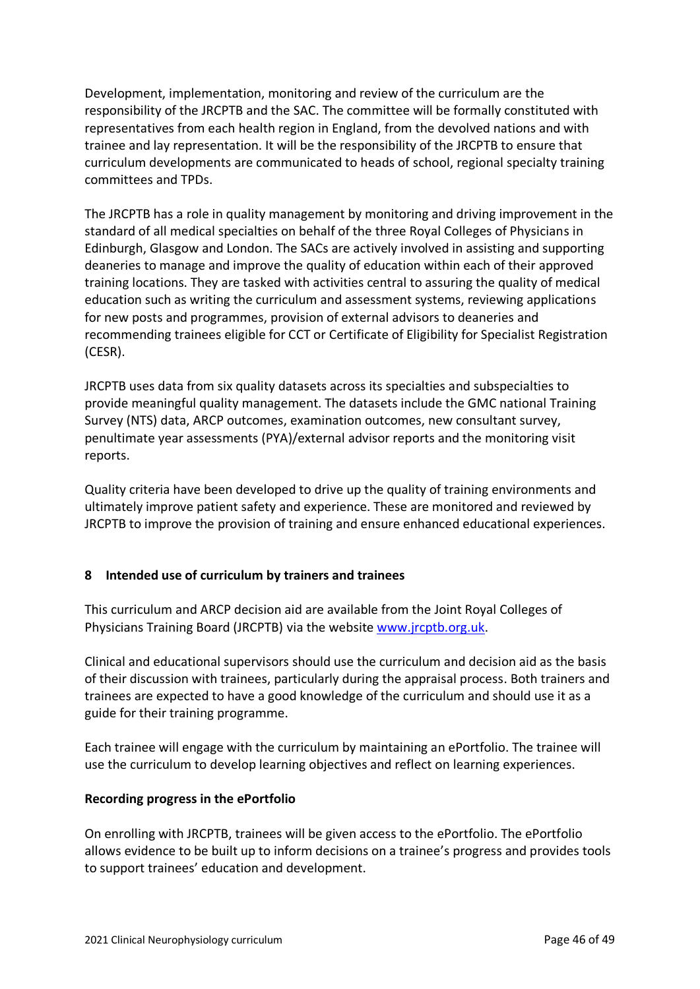Development, implementation, monitoring and review of the curriculum are the responsibility of the JRCPTB and the SAC. The committee will be formally constituted with representatives from each health region in England, from the devolved nations and with trainee and lay representation. It will be the responsibility of the JRCPTB to ensure that curriculum developments are communicated to heads of school, regional specialty training committees and TPDs.

The JRCPTB has a role in quality management by monitoring and driving improvement in the standard of all medical specialties on behalf of the three Royal Colleges of Physicians in Edinburgh, Glasgow and London. The SACs are actively involved in assisting and supporting deaneries to manage and improve the quality of education within each of their approved training locations. They are tasked with activities central to assuring the quality of medical education such as writing the curriculum and assessment systems, reviewing applications for new posts and programmes, provision of external advisors to deaneries and recommending trainees eligible for CCT or Certificate of Eligibility for Specialist Registration (CESR).

JRCPTB uses data from six quality datasets across its specialties and subspecialties to provide meaningful quality management. The datasets include the GMC national Training Survey (NTS) data, ARCP outcomes, examination outcomes, new consultant survey, penultimate year assessments (PYA)/external advisor reports and the monitoring visit reports.

Quality criteria have been developed to drive up the quality of training environments and ultimately improve patient safety and experience. These are monitored and reviewed by JRCPTB to improve the provision of training and ensure enhanced educational experiences.

# <span id="page-45-0"></span>**8 Intended use of curriculum by trainers and trainees**

This curriculum and ARCP decision aid are available from the Joint Royal Colleges of Physicians Training Board (JRCPTB) via the websit[e www.jrcptb.org.uk.](http://www.jrcptb.org.uk/)

Clinical and educational supervisors should use the curriculum and decision aid as the basis of their discussion with trainees, particularly during the appraisal process. Both trainers and trainees are expected to have a good knowledge of the curriculum and should use it as a guide for their training programme.

Each trainee will engage with the curriculum by maintaining an ePortfolio. The trainee will use the curriculum to develop learning objectives and reflect on learning experiences.

## **Recording progress in the ePortfolio**

On enrolling with JRCPTB, trainees will be given access to the ePortfolio. The ePortfolio allows evidence to be built up to inform decisions on a trainee's progress and provides tools to support trainees' education and development.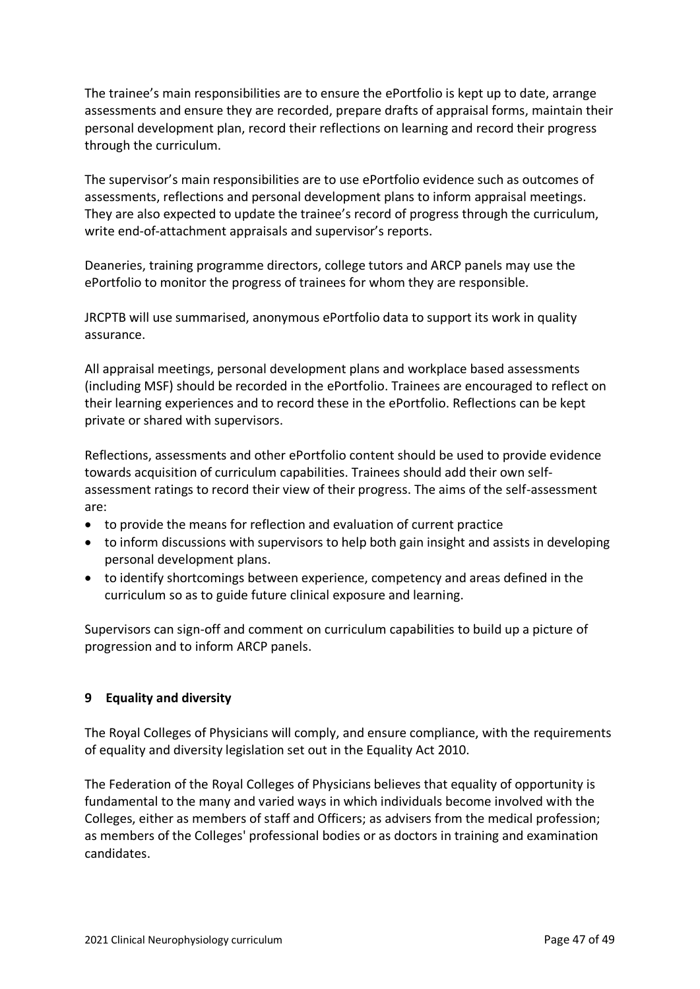The trainee's main responsibilities are to ensure the ePortfolio is kept up to date, arrange assessments and ensure they are recorded, prepare drafts of appraisal forms, maintain their personal development plan, record their reflections on learning and record their progress through the curriculum.

The supervisor's main responsibilities are to use ePortfolio evidence such as outcomes of assessments, reflections and personal development plans to inform appraisal meetings. They are also expected to update the trainee's record of progress through the curriculum, write end-of-attachment appraisals and supervisor's reports.

Deaneries, training programme directors, college tutors and ARCP panels may use the ePortfolio to monitor the progress of trainees for whom they are responsible.

JRCPTB will use summarised, anonymous ePortfolio data to support its work in quality assurance.

All appraisal meetings, personal development plans and workplace based assessments (including MSF) should be recorded in the ePortfolio. Trainees are encouraged to reflect on their learning experiences and to record these in the ePortfolio. Reflections can be kept private or shared with supervisors.

Reflections, assessments and other ePortfolio content should be used to provide evidence towards acquisition of curriculum capabilities. Trainees should add their own selfassessment ratings to record their view of their progress. The aims of the self-assessment are:

- to provide the means for reflection and evaluation of current practice
- to inform discussions with supervisors to help both gain insight and assists in developing personal development plans.
- to identify shortcomings between experience, competency and areas defined in the curriculum so as to guide future clinical exposure and learning.

Supervisors can sign-off and comment on curriculum capabilities to build up a picture of progression and to inform ARCP panels.

## <span id="page-46-0"></span>**9 Equality and diversity**

The Royal Colleges of Physicians will comply, and ensure compliance, with the requirements of equality and diversity legislation set out in the Equality Act 2010.

The Federation of the Royal Colleges of Physicians believes that equality of opportunity is fundamental to the many and varied ways in which individuals become involved with the Colleges, either as members of staff and Officers; as advisers from the medical profession; as members of the Colleges' professional bodies or as doctors in training and examination candidates.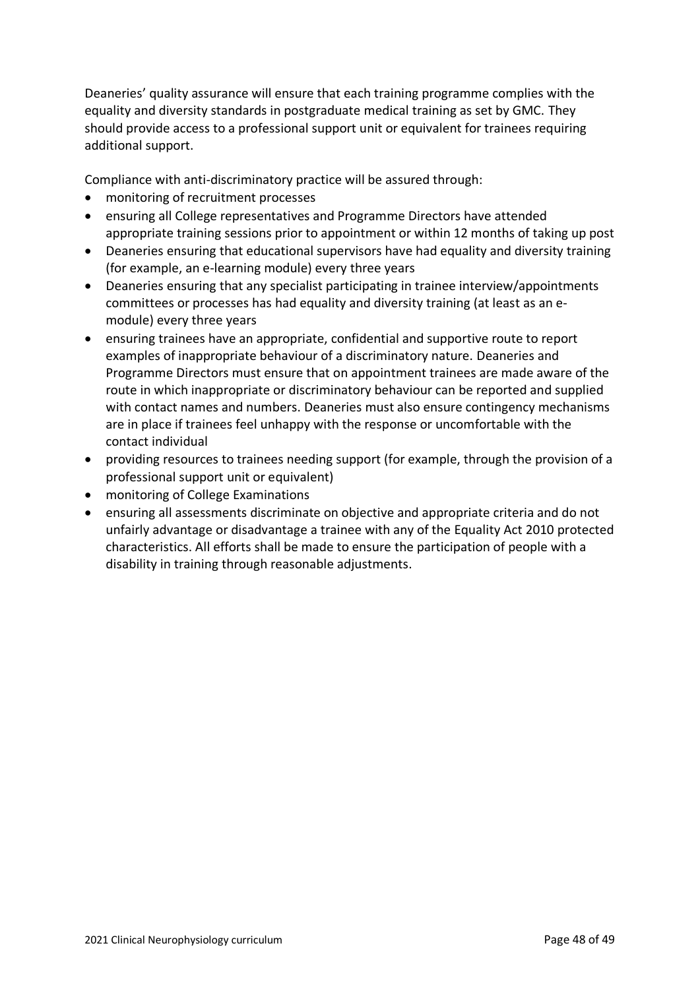Deaneries' quality assurance will ensure that each training programme complies with the equality and diversity standards in postgraduate medical training as set by GMC. They should provide access to a professional support unit or equivalent for trainees requiring additional support.

Compliance with anti-discriminatory practice will be assured through:

- monitoring of recruitment processes
- ensuring all College representatives and Programme Directors have attended appropriate training sessions prior to appointment or within 12 months of taking up post
- Deaneries ensuring that educational supervisors have had equality and diversity training (for example, an e-learning module) every three years
- Deaneries ensuring that any specialist participating in trainee interview/appointments committees or processes has had equality and diversity training (at least as an emodule) every three years
- ensuring trainees have an appropriate, confidential and supportive route to report examples of inappropriate behaviour of a discriminatory nature. Deaneries and Programme Directors must ensure that on appointment trainees are made aware of the route in which inappropriate or discriminatory behaviour can be reported and supplied with contact names and numbers. Deaneries must also ensure contingency mechanisms are in place if trainees feel unhappy with the response or uncomfortable with the contact individual
- providing resources to trainees needing support (for example, through the provision of a professional support unit or equivalent)
- monitoring of College Examinations
- ensuring all assessments discriminate on objective and appropriate criteria and do not unfairly advantage or disadvantage a trainee with any of the Equality Act 2010 protected characteristics. All efforts shall be made to ensure the participation of people with a disability in training through reasonable adjustments.